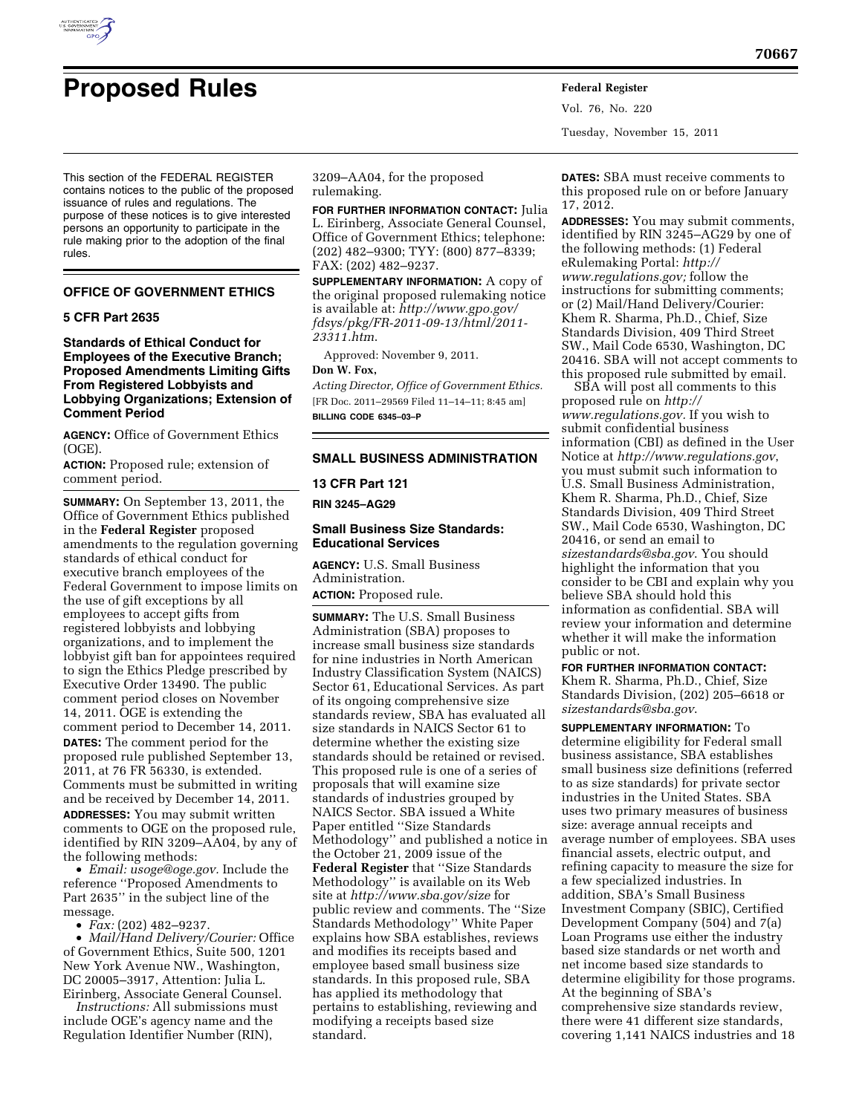

This section of the FEDERAL REGISTER contains notices to the public of the proposed issuance of rules and regulations. The purpose of these notices is to give interested persons an opportunity to participate in the rule making prior to the adoption of the final rules.

# **OFFICE OF GOVERNMENT ETHICS**

### **5 CFR Part 2635**

**Standards of Ethical Conduct for Employees of the Executive Branch; Proposed Amendments Limiting Gifts From Registered Lobbyists and Lobbying Organizations; Extension of Comment Period** 

**AGENCY:** Office of Government Ethics (OGE).

**ACTION:** Proposed rule; extension of comment period.

**SUMMARY:** On September 13, 2011, the Office of Government Ethics published in the **Federal Register** proposed amendments to the regulation governing standards of ethical conduct for executive branch employees of the Federal Government to impose limits on the use of gift exceptions by all employees to accept gifts from registered lobbyists and lobbying organizations, and to implement the lobbyist gift ban for appointees required to sign the Ethics Pledge prescribed by Executive Order 13490. The public comment period closes on November 14, 2011. OGE is extending the comment period to December 14, 2011. **DATES:** The comment period for the proposed rule published September 13, 2011, at 76 FR 56330, is extended. Comments must be submitted in writing and be received by December 14, 2011. **ADDRESSES:** You may submit written comments to OGE on the proposed rule, identified by RIN 3209–AA04, by any of the following methods:

• *Email: [usoge@oge.gov.](mailto:usoge@oge.gov)* Include the reference ''Proposed Amendments to Part 2635'' in the subject line of the message.

• *Fax:* (202) 482–9237.

• *Mail/Hand Delivery/Courier:* Office of Government Ethics, Suite 500, 1201 New York Avenue NW., Washington, DC 20005–3917, Attention: Julia L. Eirinberg, Associate General Counsel.

*Instructions:* All submissions must include OGE's agency name and the Regulation Identifier Number (RIN),

3209–AA04, for the proposed rulemaking.

**FOR FURTHER INFORMATION CONTACT:** Julia L. Eirinberg, Associate General Counsel, Office of Government Ethics; telephone: (202) 482–9300; TYY: (800) 877–8339; FAX: (202) 482–9237.

**SUPPLEMENTARY INFORMATION:** A copy of the original proposed rulemaking notice is available at: *[http://www.gpo.gov/](http://www.gpo.gov/fdsys/pkg/FR-2011-09-13/html/2011-23311.htm) [fdsys/pkg/FR-2011-09-13/html/2011-](http://www.gpo.gov/fdsys/pkg/FR-2011-09-13/html/2011-23311.htm)  [23311.htm](http://www.gpo.gov/fdsys/pkg/FR-2011-09-13/html/2011-23311.htm)*.

Approved: November 9, 2011.

### **Don W. Fox,**

*Acting Director, Office of Government Ethics.*  [FR Doc. 2011–29569 Filed 11–14–11; 8:45 am] **BILLING CODE 6345–03–P** 

# **SMALL BUSINESS ADMINISTRATION**

**13 CFR Part 121** 

**RIN 3245–AG29** 

#### **Small Business Size Standards: Educational Services**

**AGENCY:** U.S. Small Business Administration. **ACTION:** Proposed rule.

**SUMMARY:** The U.S. Small Business Administration (SBA) proposes to increase small business size standards for nine industries in North American Industry Classification System (NAICS) Sector 61, Educational Services. As part of its ongoing comprehensive size standards review, SBA has evaluated all size standards in NAICS Sector 61 to determine whether the existing size standards should be retained or revised. This proposed rule is one of a series of proposals that will examine size standards of industries grouped by NAICS Sector. SBA issued a White Paper entitled ''Size Standards Methodology'' and published a notice in the October 21, 2009 issue of the **Federal Register** that ''Size Standards Methodology'' is available on its Web site at *<http://www.sba.gov/size>* for public review and comments. The ''Size Standards Methodology'' White Paper explains how SBA establishes, reviews and modifies its receipts based and employee based small business size standards. In this proposed rule, SBA has applied its methodology that pertains to establishing, reviewing and modifying a receipts based size standard.

**DATES:** SBA must receive comments to this proposed rule on or before January 17, 2012.

Vol. 76, No. 220

Tuesday, November 15, 2011

**ADDRESSES:** You may submit comments, identified by RIN 3245–AG29 by one of the following methods: (1) Federal eRulemaking Portal: *[http://](http://www.regulations.gov) [www.regulations.gov;](http://www.regulations.gov)* follow the instructions for submitting comments; or (2) Mail/Hand Delivery/Courier: Khem R. Sharma, Ph.D., Chief, Size Standards Division, 409 Third Street SW., Mail Code 6530, Washington, DC 20416. SBA will not accept comments to this proposed rule submitted by email.

SBA will post all comments to this proposed rule on *[http://](http://www.regulations.gov) [www.regulations.gov.](http://www.regulations.gov)* If you wish to submit confidential business information (CBI) as defined in the User Notice at *<http://www.regulations.gov>*, you must submit such information to U.S. Small Business Administration, Khem R. Sharma, Ph.D., Chief, Size Standards Division, 409 Third Street SW., Mail Code 6530, Washington, DC 20416, or send an email to *[sizestandards@sba.gov](mailto:sizestandards@sba.gov)*. You should highlight the information that you consider to be CBI and explain why you believe SBA should hold this information as confidential. SBA will review your information and determine whether it will make the information public or not.

# **FOR FURTHER INFORMATION CONTACT:**

Khem R. Sharma, Ph.D., Chief, Size Standards Division, (202) 205–6618 or *[sizestandards@sba.gov](mailto:sizestandards@sba.gov)*.

**SUPPLEMENTARY INFORMATION:** To determine eligibility for Federal small business assistance, SBA establishes small business size definitions (referred to as size standards) for private sector industries in the United States. SBA uses two primary measures of business size: average annual receipts and average number of employees. SBA uses financial assets, electric output, and refining capacity to measure the size for a few specialized industries. In addition, SBA's Small Business Investment Company (SBIC), Certified Development Company (504) and 7(a) Loan Programs use either the industry based size standards or net worth and net income based size standards to determine eligibility for those programs. At the beginning of SBA's comprehensive size standards review, there were 41 different size standards, covering 1,141 NAICS industries and 18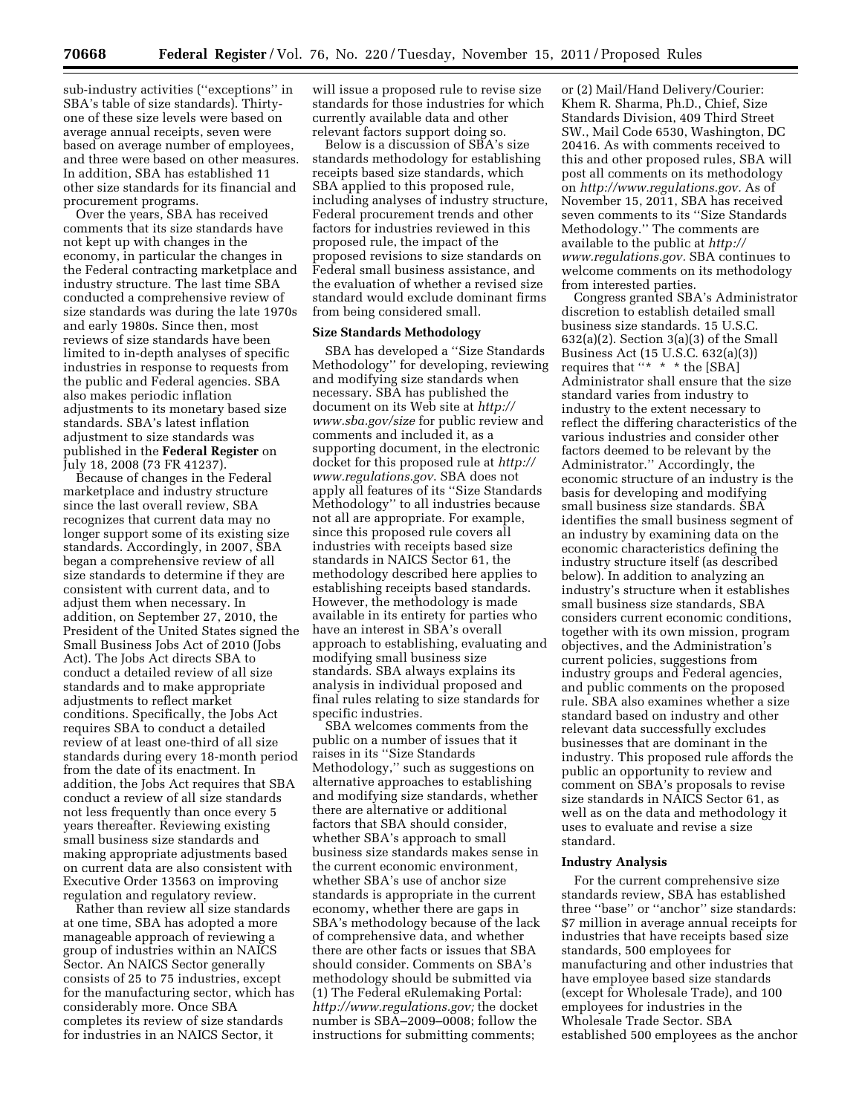sub-industry activities (''exceptions'' in SBA's table of size standards). Thirtyone of these size levels were based on average annual receipts, seven were based on average number of employees, and three were based on other measures. In addition, SBA has established 11 other size standards for its financial and procurement programs.

Over the years, SBA has received comments that its size standards have not kept up with changes in the economy, in particular the changes in the Federal contracting marketplace and industry structure. The last time SBA conducted a comprehensive review of size standards was during the late 1970s and early 1980s. Since then, most reviews of size standards have been limited to in-depth analyses of specific industries in response to requests from the public and Federal agencies. SBA also makes periodic inflation adjustments to its monetary based size standards. SBA's latest inflation adjustment to size standards was published in the **Federal Register** on July 18, 2008 (73 FR 41237).

Because of changes in the Federal marketplace and industry structure since the last overall review, SBA recognizes that current data may no longer support some of its existing size standards. Accordingly, in 2007, SBA began a comprehensive review of all size standards to determine if they are consistent with current data, and to adjust them when necessary. In addition, on September 27, 2010, the President of the United States signed the Small Business Jobs Act of 2010 (Jobs Act). The Jobs Act directs SBA to conduct a detailed review of all size standards and to make appropriate adjustments to reflect market conditions. Specifically, the Jobs Act requires SBA to conduct a detailed review of at least one-third of all size standards during every 18-month period from the date of its enactment. In addition, the Jobs Act requires that SBA conduct a review of all size standards not less frequently than once every 5 years thereafter. Reviewing existing small business size standards and making appropriate adjustments based on current data are also consistent with Executive Order 13563 on improving regulation and regulatory review.

Rather than review all size standards at one time, SBA has adopted a more manageable approach of reviewing a group of industries within an NAICS Sector. An NAICS Sector generally consists of 25 to 75 industries, except for the manufacturing sector, which has considerably more. Once SBA completes its review of size standards for industries in an NAICS Sector, it

will issue a proposed rule to revise size standards for those industries for which currently available data and other relevant factors support doing so.

Below is a discussion of SBA's size standards methodology for establishing receipts based size standards, which SBA applied to this proposed rule, including analyses of industry structure, Federal procurement trends and other factors for industries reviewed in this proposed rule, the impact of the proposed revisions to size standards on Federal small business assistance, and the evaluation of whether a revised size standard would exclude dominant firms from being considered small.

# **Size Standards Methodology**

SBA has developed a ''Size Standards Methodology'' for developing, reviewing and modifying size standards when necessary. SBA has published the document on its Web site at *[http://](http://www.sba.gov/size)  [www.sba.gov/size](http://www.sba.gov/size)* for public review and comments and included it, as a supporting document, in the electronic docket for this proposed rule at *[http://](http://www.regulations.gov) [www.regulations.gov](http://www.regulations.gov)*. SBA does not apply all features of its ''Size Standards Methodology'' to all industries because not all are appropriate. For example, since this proposed rule covers all industries with receipts based size standards in NAICS Sector 61, the methodology described here applies to establishing receipts based standards. However, the methodology is made available in its entirety for parties who have an interest in SBA's overall approach to establishing, evaluating and modifying small business size standards. SBA always explains its analysis in individual proposed and final rules relating to size standards for specific industries.

SBA welcomes comments from the public on a number of issues that it raises in its ''Size Standards Methodology,'' such as suggestions on alternative approaches to establishing and modifying size standards, whether there are alternative or additional factors that SBA should consider, whether SBA's approach to small business size standards makes sense in the current economic environment, whether SBA's use of anchor size standards is appropriate in the current economy, whether there are gaps in SBA's methodology because of the lack of comprehensive data, and whether there are other facts or issues that SBA should consider. Comments on SBA's methodology should be submitted via (1) The Federal eRulemaking Portal: *[http://www.regulations.gov;](http://www.regulations.gov)* the docket number is SBA–2009–0008; follow the instructions for submitting comments;

or (2) Mail/Hand Delivery/Courier: Khem R. Sharma, Ph.D., Chief, Size Standards Division, 409 Third Street SW., Mail Code 6530, Washington, DC 20416. As with comments received to this and other proposed rules, SBA will post all comments on its methodology on *[http://www.regulations.gov.](http://www.regulations.gov)* As of November 15, 2011, SBA has received seven comments to its ''Size Standards Methodology.'' The comments are available to the public at *[http://](http://www.regulations.gov)  [www.regulations.gov.](http://www.regulations.gov)* SBA continues to welcome comments on its methodology from interested parties.

Congress granted SBA's Administrator discretion to establish detailed small business size standards. 15 U.S.C.  $632(a)(2)$ . Section  $3(a)(3)$  of the Small Business Act (15 U.S.C. 632(a)(3)) requires that ''\* \* \* the [SBA] Administrator shall ensure that the size standard varies from industry to industry to the extent necessary to reflect the differing characteristics of the various industries and consider other factors deemed to be relevant by the Administrator.'' Accordingly, the economic structure of an industry is the basis for developing and modifying small business size standards. SBA identifies the small business segment of an industry by examining data on the economic characteristics defining the industry structure itself (as described below). In addition to analyzing an industry's structure when it establishes small business size standards, SBA considers current economic conditions, together with its own mission, program objectives, and the Administration's current policies, suggestions from industry groups and Federal agencies, and public comments on the proposed rule. SBA also examines whether a size standard based on industry and other relevant data successfully excludes businesses that are dominant in the industry. This proposed rule affords the public an opportunity to review and comment on SBA's proposals to revise size standards in NAICS Sector 61, as well as on the data and methodology it uses to evaluate and revise a size standard.

#### **Industry Analysis**

For the current comprehensive size standards review, SBA has established three ''base'' or ''anchor'' size standards: \$7 million in average annual receipts for industries that have receipts based size standards, 500 employees for manufacturing and other industries that have employee based size standards (except for Wholesale Trade), and 100 employees for industries in the Wholesale Trade Sector. SBA established 500 employees as the anchor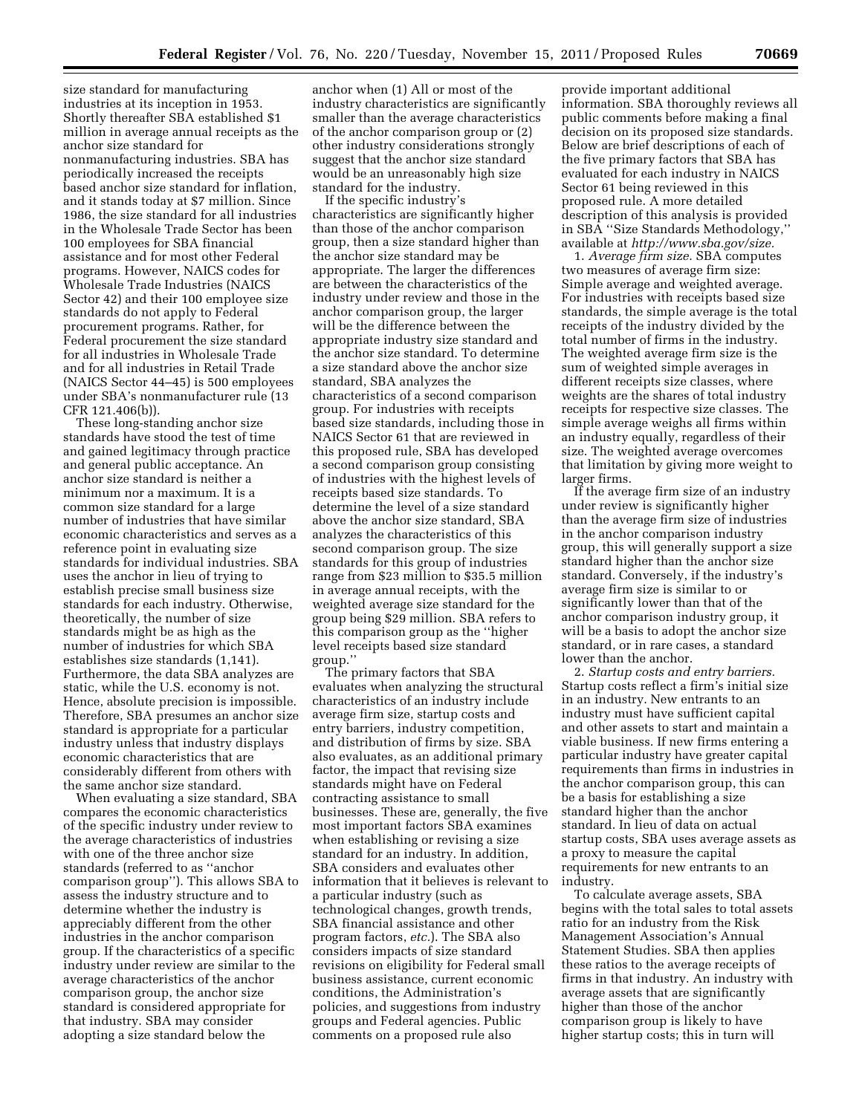size standard for manufacturing industries at its inception in 1953. Shortly thereafter SBA established \$1 million in average annual receipts as the anchor size standard for nonmanufacturing industries. SBA has periodically increased the receipts based anchor size standard for inflation, and it stands today at \$7 million. Since 1986, the size standard for all industries in the Wholesale Trade Sector has been 100 employees for SBA financial assistance and for most other Federal programs. However, NAICS codes for Wholesale Trade Industries (NAICS Sector 42) and their 100 employee size standards do not apply to Federal procurement programs. Rather, for Federal procurement the size standard for all industries in Wholesale Trade and for all industries in Retail Trade (NAICS Sector 44–45) is 500 employees under SBA's nonmanufacturer rule (13 CFR 121.406(b)).

These long-standing anchor size standards have stood the test of time and gained legitimacy through practice and general public acceptance. An anchor size standard is neither a minimum nor a maximum. It is a common size standard for a large number of industries that have similar economic characteristics and serves as a reference point in evaluating size standards for individual industries. SBA uses the anchor in lieu of trying to establish precise small business size standards for each industry. Otherwise, theoretically, the number of size standards might be as high as the number of industries for which SBA establishes size standards (1,141). Furthermore, the data SBA analyzes are static, while the U.S. economy is not. Hence, absolute precision is impossible. Therefore, SBA presumes an anchor size standard is appropriate for a particular industry unless that industry displays economic characteristics that are considerably different from others with the same anchor size standard.

When evaluating a size standard, SBA compares the economic characteristics of the specific industry under review to the average characteristics of industries with one of the three anchor size standards (referred to as ''anchor comparison group''). This allows SBA to assess the industry structure and to determine whether the industry is appreciably different from the other industries in the anchor comparison group. If the characteristics of a specific industry under review are similar to the average characteristics of the anchor comparison group, the anchor size standard is considered appropriate for that industry. SBA may consider adopting a size standard below the

anchor when (1) All or most of the industry characteristics are significantly smaller than the average characteristics of the anchor comparison group or (2) other industry considerations strongly suggest that the anchor size standard would be an unreasonably high size standard for the industry.

If the specific industry's characteristics are significantly higher than those of the anchor comparison group, then a size standard higher than the anchor size standard may be appropriate. The larger the differences are between the characteristics of the industry under review and those in the anchor comparison group, the larger will be the difference between the appropriate industry size standard and the anchor size standard. To determine a size standard above the anchor size standard, SBA analyzes the characteristics of a second comparison group. For industries with receipts based size standards, including those in NAICS Sector 61 that are reviewed in this proposed rule, SBA has developed a second comparison group consisting of industries with the highest levels of receipts based size standards. To determine the level of a size standard above the anchor size standard, SBA analyzes the characteristics of this second comparison group. The size standards for this group of industries range from \$23 million to \$35.5 million in average annual receipts, with the weighted average size standard for the group being \$29 million. SBA refers to this comparison group as the ''higher level receipts based size standard group.''

The primary factors that SBA evaluates when analyzing the structural characteristics of an industry include average firm size, startup costs and entry barriers, industry competition, and distribution of firms by size. SBA also evaluates, as an additional primary factor, the impact that revising size standards might have on Federal contracting assistance to small businesses. These are, generally, the five most important factors SBA examines when establishing or revising a size standard for an industry. In addition, SBA considers and evaluates other information that it believes is relevant to a particular industry (such as technological changes, growth trends, SBA financial assistance and other program factors, *etc.*). The SBA also considers impacts of size standard revisions on eligibility for Federal small business assistance, current economic conditions, the Administration's policies, and suggestions from industry groups and Federal agencies. Public comments on a proposed rule also

provide important additional information. SBA thoroughly reviews all public comments before making a final decision on its proposed size standards. Below are brief descriptions of each of the five primary factors that SBA has evaluated for each industry in NAICS Sector 61 being reviewed in this proposed rule. A more detailed description of this analysis is provided in SBA ''Size Standards Methodology,'' available at *[http://www.sba.gov/size.](http://www.sba.gov/size)* 

1. *Average firm size.* SBA computes two measures of average firm size: Simple average and weighted average. For industries with receipts based size standards, the simple average is the total receipts of the industry divided by the total number of firms in the industry. The weighted average firm size is the sum of weighted simple averages in different receipts size classes, where weights are the shares of total industry receipts for respective size classes. The simple average weighs all firms within an industry equally, regardless of their size. The weighted average overcomes that limitation by giving more weight to larger firms.

If the average firm size of an industry under review is significantly higher than the average firm size of industries in the anchor comparison industry group, this will generally support a size standard higher than the anchor size standard. Conversely, if the industry's average firm size is similar to or significantly lower than that of the anchor comparison industry group, it will be a basis to adopt the anchor size standard, or in rare cases, a standard lower than the anchor.

2. *Startup costs and entry barriers.*  Startup costs reflect a firm's initial size in an industry. New entrants to an industry must have sufficient capital and other assets to start and maintain a viable business. If new firms entering a particular industry have greater capital requirements than firms in industries in the anchor comparison group, this can be a basis for establishing a size standard higher than the anchor standard. In lieu of data on actual startup costs, SBA uses average assets as a proxy to measure the capital requirements for new entrants to an industry.

To calculate average assets, SBA begins with the total sales to total assets ratio for an industry from the Risk Management Association's Annual Statement Studies. SBA then applies these ratios to the average receipts of firms in that industry. An industry with average assets that are significantly higher than those of the anchor comparison group is likely to have higher startup costs; this in turn will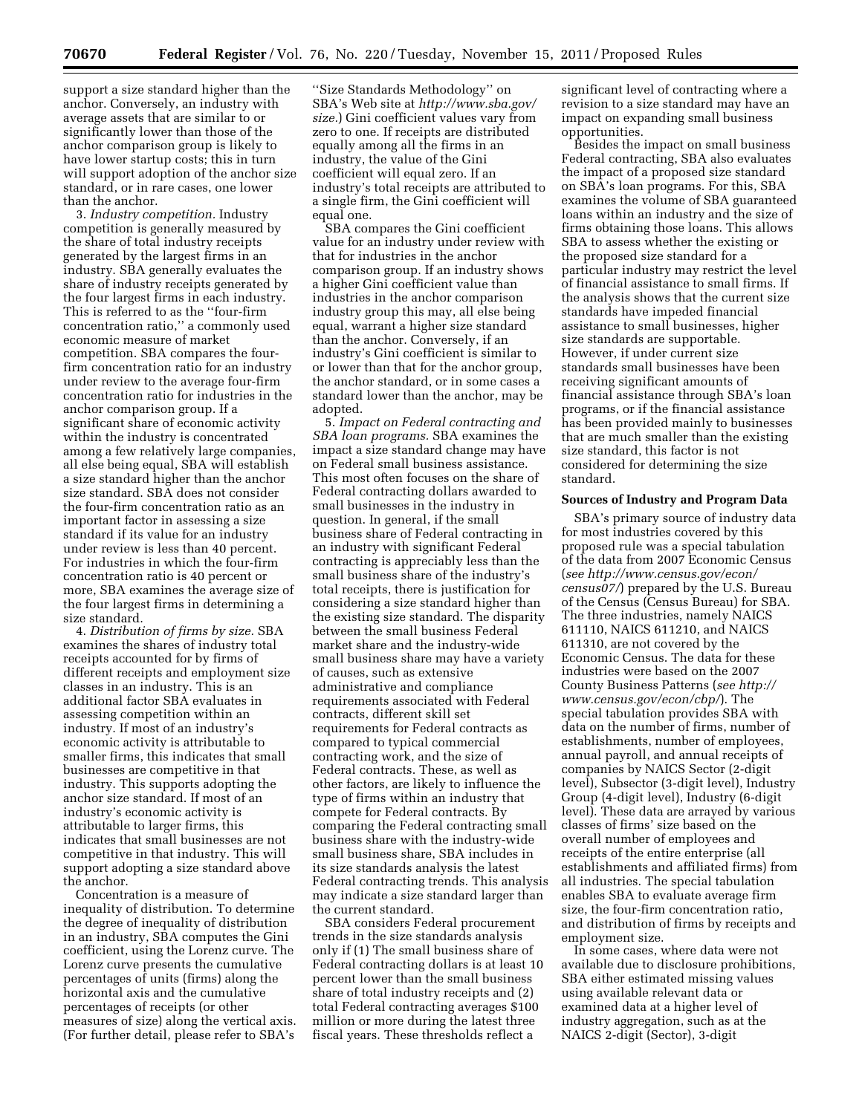support a size standard higher than the anchor. Conversely, an industry with average assets that are similar to or significantly lower than those of the anchor comparison group is likely to have lower startup costs; this in turn will support adoption of the anchor size standard, or in rare cases, one lower than the anchor.

3. *Industry competition.* Industry competition is generally measured by the share of total industry receipts generated by the largest firms in an industry. SBA generally evaluates the share of industry receipts generated by the four largest firms in each industry. This is referred to as the ''four-firm concentration ratio,'' a commonly used economic measure of market competition. SBA compares the fourfirm concentration ratio for an industry under review to the average four-firm concentration ratio for industries in the anchor comparison group. If a significant share of economic activity within the industry is concentrated among a few relatively large companies, all else being equal, SBA will establish a size standard higher than the anchor size standard. SBA does not consider the four-firm concentration ratio as an important factor in assessing a size standard if its value for an industry under review is less than 40 percent. For industries in which the four-firm concentration ratio is 40 percent or more, SBA examines the average size of the four largest firms in determining a size standard.

4. *Distribution of firms by size.* SBA examines the shares of industry total receipts accounted for by firms of different receipts and employment size classes in an industry. This is an additional factor SBA evaluates in assessing competition within an industry. If most of an industry's economic activity is attributable to smaller firms, this indicates that small businesses are competitive in that industry. This supports adopting the anchor size standard. If most of an industry's economic activity is attributable to larger firms, this indicates that small businesses are not competitive in that industry. This will support adopting a size standard above the anchor.

Concentration is a measure of inequality of distribution. To determine the degree of inequality of distribution in an industry, SBA computes the Gini coefficient, using the Lorenz curve. The Lorenz curve presents the cumulative percentages of units (firms) along the horizontal axis and the cumulative percentages of receipts (or other measures of size) along the vertical axis. (For further detail, please refer to SBA's

''Size Standards Methodology'' on SBA's Web site at *[http://www.sba.gov/](http://www.sba.gov/size)  [size.](http://www.sba.gov/size)*) Gini coefficient values vary from zero to one. If receipts are distributed equally among all the firms in an industry, the value of the Gini coefficient will equal zero. If an industry's total receipts are attributed to a single firm, the Gini coefficient will equal one.

SBA compares the Gini coefficient value for an industry under review with that for industries in the anchor comparison group. If an industry shows a higher Gini coefficient value than industries in the anchor comparison industry group this may, all else being equal, warrant a higher size standard than the anchor. Conversely, if an industry's Gini coefficient is similar to or lower than that for the anchor group, the anchor standard, or in some cases a standard lower than the anchor, may be adopted.

5. *Impact on Federal contracting and SBA loan programs.* SBA examines the impact a size standard change may have on Federal small business assistance. This most often focuses on the share of Federal contracting dollars awarded to small businesses in the industry in question. In general, if the small business share of Federal contracting in an industry with significant Federal contracting is appreciably less than the small business share of the industry's total receipts, there is justification for considering a size standard higher than the existing size standard. The disparity between the small business Federal market share and the industry-wide small business share may have a variety of causes, such as extensive administrative and compliance requirements associated with Federal contracts, different skill set requirements for Federal contracts as compared to typical commercial contracting work, and the size of Federal contracts. These, as well as other factors, are likely to influence the type of firms within an industry that compete for Federal contracts. By comparing the Federal contracting small business share with the industry-wide small business share, SBA includes in its size standards analysis the latest Federal contracting trends. This analysis may indicate a size standard larger than the current standard.

SBA considers Federal procurement trends in the size standards analysis only if (1) The small business share of Federal contracting dollars is at least 10 percent lower than the small business share of total industry receipts and (2) total Federal contracting averages \$100 million or more during the latest three fiscal years. These thresholds reflect a

significant level of contracting where a revision to a size standard may have an impact on expanding small business opportunities.

Besides the impact on small business Federal contracting, SBA also evaluates the impact of a proposed size standard on SBA's loan programs. For this, SBA examines the volume of SBA guaranteed loans within an industry and the size of firms obtaining those loans. This allows SBA to assess whether the existing or the proposed size standard for a particular industry may restrict the level of financial assistance to small firms. If the analysis shows that the current size standards have impeded financial assistance to small businesses, higher size standards are supportable. However, if under current size standards small businesses have been receiving significant amounts of financial assistance through SBA's loan programs, or if the financial assistance has been provided mainly to businesses that are much smaller than the existing size standard, this factor is not considered for determining the size standard.

#### **Sources of Industry and Program Data**

SBA's primary source of industry data for most industries covered by this proposed rule was a special tabulation of the data from 2007 Economic Census (*see [http://www.census.gov/econ/](http://www.census.gov/econ/census07/) [census07/](http://www.census.gov/econ/census07/)*) prepared by the U.S. Bureau of the Census (Census Bureau) for SBA. The three industries, namely NAICS 611110, NAICS 611210, and NAICS 611310, are not covered by the Economic Census. The data for these industries were based on the 2007 County Business Patterns (*see [http://](http://www.census.gov/econ/cbp/) [www.census.gov/econ/cbp/](http://www.census.gov/econ/cbp/)*). The special tabulation provides SBA with data on the number of firms, number of establishments, number of employees, annual payroll, and annual receipts of companies by NAICS Sector (2-digit level), Subsector (3-digit level), Industry Group (4-digit level), Industry (6-digit level). These data are arrayed by various classes of firms' size based on the overall number of employees and receipts of the entire enterprise (all establishments and affiliated firms) from all industries. The special tabulation enables SBA to evaluate average firm size, the four-firm concentration ratio, and distribution of firms by receipts and employment size.

In some cases, where data were not available due to disclosure prohibitions, SBA either estimated missing values using available relevant data or examined data at a higher level of industry aggregation, such as at the NAICS 2-digit (Sector), 3-digit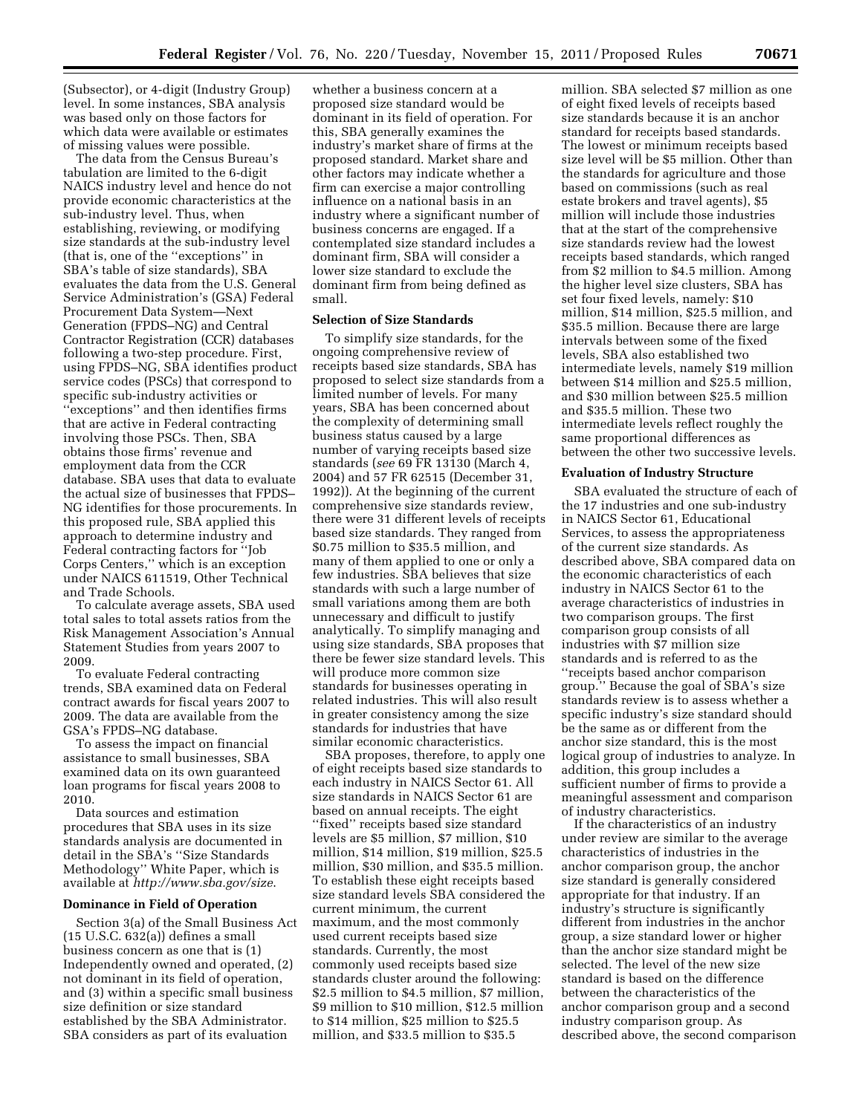(Subsector), or 4-digit (Industry Group) level. In some instances, SBA analysis was based only on those factors for which data were available or estimates of missing values were possible.

The data from the Census Bureau's tabulation are limited to the 6-digit NAICS industry level and hence do not provide economic characteristics at the sub-industry level. Thus, when establishing, reviewing, or modifying size standards at the sub-industry level (that is, one of the ''exceptions'' in SBA's table of size standards), SBA evaluates the data from the U.S. General Service Administration's (GSA) Federal Procurement Data System—Next Generation (FPDS–NG) and Central Contractor Registration (CCR) databases following a two-step procedure. First, using FPDS–NG, SBA identifies product service codes (PSCs) that correspond to specific sub-industry activities or ''exceptions'' and then identifies firms that are active in Federal contracting involving those PSCs. Then, SBA obtains those firms' revenue and employment data from the CCR database. SBA uses that data to evaluate the actual size of businesses that FPDS– NG identifies for those procurements. In this proposed rule, SBA applied this approach to determine industry and Federal contracting factors for ''Job Corps Centers,'' which is an exception under NAICS 611519, Other Technical and Trade Schools.

To calculate average assets, SBA used total sales to total assets ratios from the Risk Management Association's Annual Statement Studies from years 2007 to 2009.

To evaluate Federal contracting trends, SBA examined data on Federal contract awards for fiscal years 2007 to 2009. The data are available from the GSA's FPDS–NG database.

To assess the impact on financial assistance to small businesses, SBA examined data on its own guaranteed loan programs for fiscal years 2008 to 2010.

Data sources and estimation procedures that SBA uses in its size standards analysis are documented in detail in the SBA's ''Size Standards Methodology'' White Paper, which is available at *<http://www.sba.gov/size>*.

#### **Dominance in Field of Operation**

Section 3(a) of the Small Business Act (15 U.S.C. 632(a)) defines a small business concern as one that is (1) Independently owned and operated, (2) not dominant in its field of operation, and (3) within a specific small business size definition or size standard established by the SBA Administrator. SBA considers as part of its evaluation

whether a business concern at a proposed size standard would be dominant in its field of operation. For this, SBA generally examines the industry's market share of firms at the proposed standard. Market share and other factors may indicate whether a firm can exercise a major controlling influence on a national basis in an industry where a significant number of business concerns are engaged. If a contemplated size standard includes a dominant firm, SBA will consider a lower size standard to exclude the dominant firm from being defined as small.

### **Selection of Size Standards**

To simplify size standards, for the ongoing comprehensive review of receipts based size standards, SBA has proposed to select size standards from a limited number of levels. For many years, SBA has been concerned about the complexity of determining small business status caused by a large number of varying receipts based size standards (*see* 69 FR 13130 (March 4, 2004) and 57 FR 62515 (December 31, 1992)). At the beginning of the current comprehensive size standards review, there were 31 different levels of receipts based size standards. They ranged from \$0.75 million to \$35.5 million, and many of them applied to one or only a few industries. SBA believes that size standards with such a large number of small variations among them are both unnecessary and difficult to justify analytically. To simplify managing and using size standards, SBA proposes that there be fewer size standard levels. This will produce more common size standards for businesses operating in related industries. This will also result in greater consistency among the size standards for industries that have similar economic characteristics.

SBA proposes, therefore, to apply one of eight receipts based size standards to each industry in NAICS Sector 61. All size standards in NAICS Sector 61 are based on annual receipts. The eight ''fixed'' receipts based size standard levels are \$5 million, \$7 million, \$10 million, \$14 million, \$19 million, \$25.5 million, \$30 million, and \$35.5 million. To establish these eight receipts based size standard levels SBA considered the current minimum, the current maximum, and the most commonly used current receipts based size standards. Currently, the most commonly used receipts based size standards cluster around the following: \$2.5 million to \$4.5 million, \$7 million, \$9 million to \$10 million, \$12.5 million to \$14 million, \$25 million to \$25.5 million, and \$33.5 million to \$35.5

million. SBA selected \$7 million as one of eight fixed levels of receipts based size standards because it is an anchor standard for receipts based standards. The lowest or minimum receipts based size level will be \$5 million. Other than the standards for agriculture and those based on commissions (such as real estate brokers and travel agents), \$5 million will include those industries that at the start of the comprehensive size standards review had the lowest receipts based standards, which ranged from \$2 million to \$4.5 million. Among the higher level size clusters, SBA has set four fixed levels, namely: \$10 million, \$14 million, \$25.5 million, and \$35.5 million. Because there are large intervals between some of the fixed levels, SBA also established two intermediate levels, namely \$19 million between \$14 million and \$25.5 million, and \$30 million between \$25.5 million and \$35.5 million. These two intermediate levels reflect roughly the same proportional differences as between the other two successive levels.

#### **Evaluation of Industry Structure**

SBA evaluated the structure of each of the 17 industries and one sub-industry in NAICS Sector 61, Educational Services, to assess the appropriateness of the current size standards. As described above, SBA compared data on the economic characteristics of each industry in NAICS Sector 61 to the average characteristics of industries in two comparison groups. The first comparison group consists of all industries with \$7 million size standards and is referred to as the ''receipts based anchor comparison group.'' Because the goal of SBA's size standards review is to assess whether a specific industry's size standard should be the same as or different from the anchor size standard, this is the most logical group of industries to analyze. In addition, this group includes a sufficient number of firms to provide a meaningful assessment and comparison of industry characteristics.

If the characteristics of an industry under review are similar to the average characteristics of industries in the anchor comparison group, the anchor size standard is generally considered appropriate for that industry. If an industry's structure is significantly different from industries in the anchor group, a size standard lower or higher than the anchor size standard might be selected. The level of the new size standard is based on the difference between the characteristics of the anchor comparison group and a second industry comparison group. As described above, the second comparison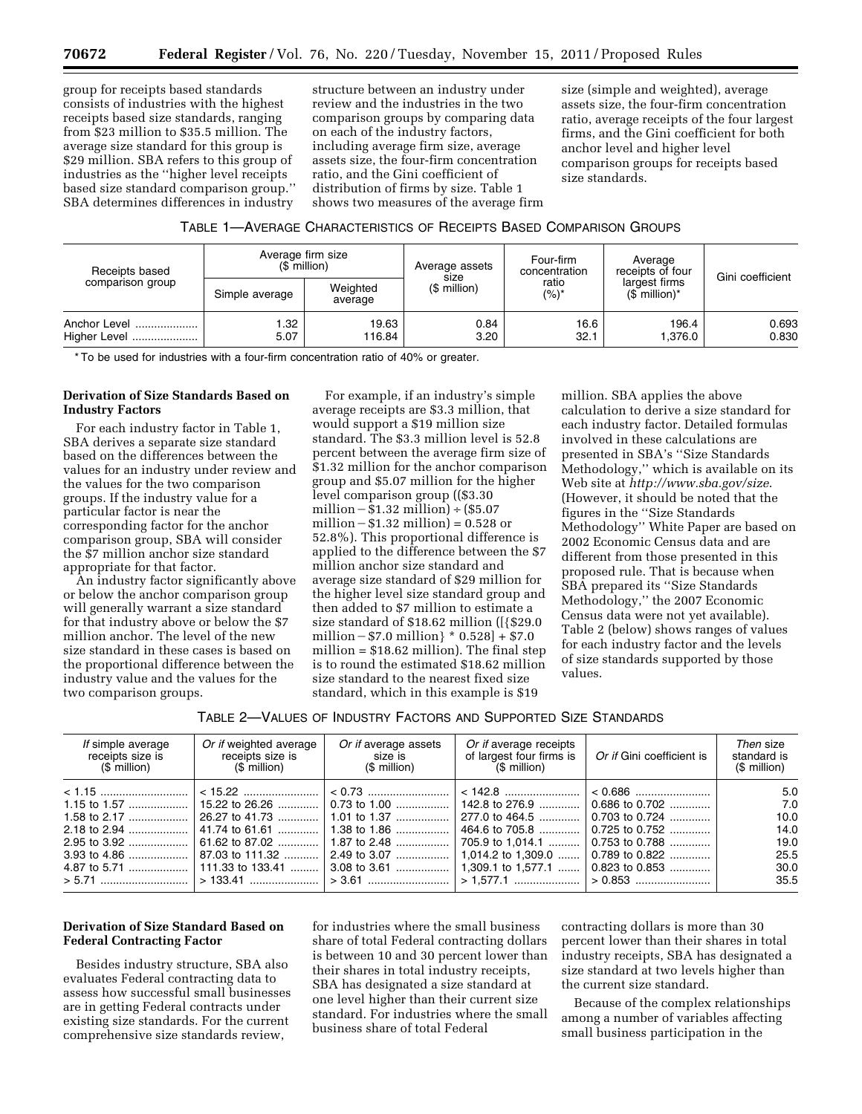group for receipts based standards consists of industries with the highest receipts based size standards, ranging from \$23 million to \$35.5 million. The average size standard for this group is \$29 million. SBA refers to this group of industries as the ''higher level receipts based size standard comparison group.'' SBA determines differences in industry

structure between an industry under review and the industries in the two comparison groups by comparing data on each of the industry factors, including average firm size, average assets size, the four-firm concentration ratio, and the Gini coefficient of distribution of firms by size. Table 1 shows two measures of the average firm

size (simple and weighted), average assets size, the four-firm concentration ratio, average receipts of the four largest firms, and the Gini coefficient for both anchor level and higher level comparison groups for receipts based size standards.

# TABLE 1—AVERAGE CHARACTERISTICS OF RECEIPTS BASED COMPARISON GROUPS

| Receipts based<br>comparison group |                | Average firm size<br>$(S$ million) | Average assets       | Four-firm<br>concentration | Average<br>receipts of four                 | Gini coefficient |
|------------------------------------|----------------|------------------------------------|----------------------|----------------------------|---------------------------------------------|------------------|
|                                    | Simple average | Weighted<br>average                | size<br>(\$ million) | ratio<br>(%)*              | largest firms<br>$(S$ million) <sup>*</sup> |                  |
| Anchor Level<br>Higher Level       | 1.32<br>5.07   | 19.63<br>116.84                    | 0.84<br>3.20         | 16.6<br>32.1               | 196.4<br>1.376.0                            | 0.693<br>0.830   |

\* To be used for industries with a four-firm concentration ratio of 40% or greater.

# **Derivation of Size Standards Based on Industry Factors**

For each industry factor in Table 1, SBA derives a separate size standard based on the differences between the values for an industry under review and the values for the two comparison groups. If the industry value for a particular factor is near the corresponding factor for the anchor comparison group, SBA will consider the \$7 million anchor size standard appropriate for that factor.

An industry factor significantly above or below the anchor comparison group will generally warrant a size standard for that industry above or below the \$7 million anchor. The level of the new size standard in these cases is based on the proportional difference between the industry value and the values for the two comparison groups.

For example, if an industry's simple average receipts are \$3.3 million, that would support a \$19 million size standard. The \$3.3 million level is 52.8 percent between the average firm size of \$1.32 million for the anchor comparison group and \$5.07 million for the higher level comparison group ((\$3.30 million  $-\$1.32$  million) ÷ (\$5.07 million  $- $1.32$  million) = 0.528 or 52.8%). This proportional difference is applied to the difference between the \$7 million anchor size standard and average size standard of \$29 million for the higher level size standard group and then added to \$7 million to estimate a size standard of \$18.62 million ([{\$29.0 million  $- $7.0$  million }  $* 0.528$  } + \$7.0 million = \$18.62 million). The final step is to round the estimated \$18.62 million size standard to the nearest fixed size standard, which in this example is \$19

million. SBA applies the above calculation to derive a size standard for each industry factor. Detailed formulas involved in these calculations are presented in SBA's ''Size Standards Methodology,'' which is available on its Web site at *<http://www.sba.gov/size>*. (However, it should be noted that the figures in the ''Size Standards Methodology'' White Paper are based on 2002 Economic Census data and are different from those presented in this proposed rule. That is because when SBA prepared its ''Size Standards Methodology,'' the 2007 Economic Census data were not yet available). Table 2 (below) shows ranges of values for each industry factor and the levels of size standards supported by those values.

TABLE 2—VALUES OF INDUSTRY FACTORS AND SUPPORTED SIZE STANDARDS

| If simple average<br>receipts size is<br>$$$ million) | Or if weighted average<br>receipts size is<br>$(S$ million) | Or if average assets<br>size is<br>(\$ million) | Or if average receipts<br>of largest four firms is<br>(\$ million) | Or if Gini coefficient is | Then size<br>standard is<br>(\$ million) |
|-------------------------------------------------------|-------------------------------------------------------------|-------------------------------------------------|--------------------------------------------------------------------|---------------------------|------------------------------------------|
|                                                       |                                                             |                                                 | — <b>142.8</b> …………………… <sup>∣</sup>                               | $0.686$ to $0.702$        | 5.0<br>7.0                               |
| 1.58 to 2.17                                          |                                                             |                                                 | 277.0 to 464.5                                                     | 0.703 to 0.724            | 10.0                                     |
|                                                       | 41.74 to 61.61    1.38 to 1.86                              |                                                 | 464.6 to 705.8                                                     | $0.725$ to $0.752$        | 14.0                                     |
|                                                       |                                                             |                                                 | 705.9 to 1.014.1                                                   | $0.753$ to $0.788$        | 19.0                                     |
|                                                       |                                                             |                                                 |                                                                    | $0.789$ to $0.822$        | 25.5                                     |
|                                                       |                                                             |                                                 |                                                                    | $0.823$ to $0.853$        | 30.0                                     |
|                                                       |                                                             |                                                 |                                                                    |                           | 35.5                                     |

# **Derivation of Size Standard Based on Federal Contracting Factor**

Besides industry structure, SBA also evaluates Federal contracting data to assess how successful small businesses are in getting Federal contracts under existing size standards. For the current comprehensive size standards review,

for industries where the small business share of total Federal contracting dollars is between 10 and 30 percent lower than their shares in total industry receipts, SBA has designated a size standard at one level higher than their current size standard. For industries where the small business share of total Federal

contracting dollars is more than 30 percent lower than their shares in total industry receipts, SBA has designated a size standard at two levels higher than the current size standard.

Because of the complex relationships among a number of variables affecting small business participation in the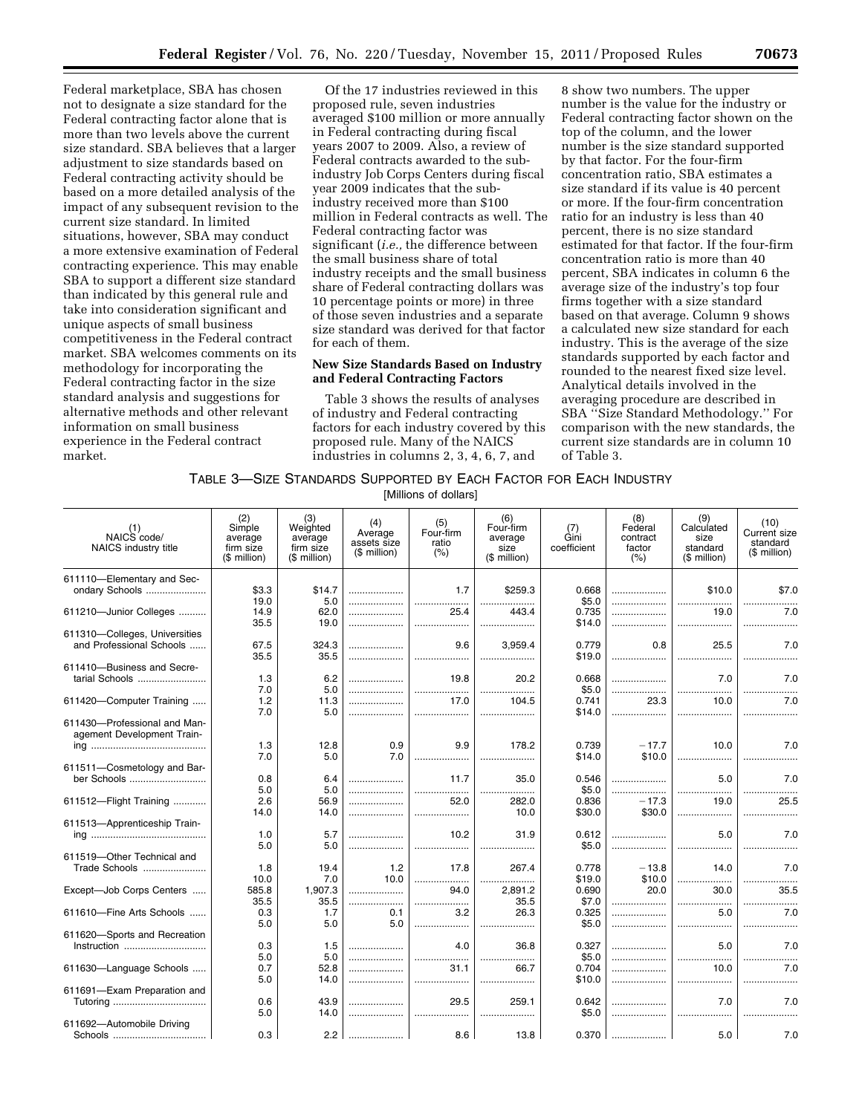Federal marketplace, SBA has chosen not to designate a size standard for the Federal contracting factor alone that is more than two levels above the current size standard. SBA believes that a larger adjustment to size standards based on Federal contracting activity should be based on a more detailed analysis of the impact of any subsequent revision to the current size standard. In limited situations, however, SBA may conduct a more extensive examination of Federal contracting experience. This may enable SBA to support a different size standard than indicated by this general rule and take into consideration significant and unique aspects of small business competitiveness in the Federal contract market. SBA welcomes comments on its methodology for incorporating the Federal contracting factor in the size standard analysis and suggestions for alternative methods and other relevant information on small business experience in the Federal contract market.

Of the 17 industries reviewed in this proposed rule, seven industries averaged \$100 million or more annually in Federal contracting during fiscal years 2007 to 2009. Also, a review of Federal contracts awarded to the subindustry Job Corps Centers during fiscal year 2009 indicates that the subindustry received more than \$100 million in Federal contracts as well. The Federal contracting factor was significant (*i.e.,* the difference between the small business share of total industry receipts and the small business share of Federal contracting dollars was 10 percentage points or more) in three of those seven industries and a separate size standard was derived for that factor for each of them.

# **New Size Standards Based on Industry and Federal Contracting Factors**

Table 3 shows the results of analyses of industry and Federal contracting factors for each industry covered by this proposed rule. Many of the NAICS industries in columns 2, 3, 4, 6, 7, and

8 show two numbers. The upper number is the value for the industry or Federal contracting factor shown on the top of the column, and the lower number is the size standard supported by that factor. For the four-firm concentration ratio, SBA estimates a size standard if its value is 40 percent or more. If the four-firm concentration ratio for an industry is less than 40 percent, there is no size standard estimated for that factor. If the four-firm concentration ratio is more than 40 percent, SBA indicates in column 6 the average size of the industry's top four firms together with a size standard based on that average. Column 9 shows a calculated new size standard for each industry. This is the average of the size standards supported by each factor and rounded to the nearest fixed size level. Analytical details involved in the averaging procedure are described in SBA ''Size Standard Methodology.'' For comparison with the new standards, the current size standards are in column 10 of Table 3.

TABLE 3—SIZE STANDARDS SUPPORTED BY EACH FACTOR FOR EACH INDUSTRY

[Millions of dollars]

| (1)<br>NAICS code/<br>NAICS industry title  | (2)<br>Simple<br>average<br>firm size<br>(\$ million) | (3)<br>Weighted<br>average<br>firm size<br>(\$ million) | (4)<br>Average<br>assets size<br>(\$ million) | (5)<br>Four-firm<br>ratio<br>(% ) | (6)<br>Four-firm<br>average<br>size<br>(\$ million) | (7)<br>Gini<br>coefficient | (8)<br>Federal<br>contract<br>factor<br>(% ) | (9)<br>Calculated<br>size<br>standard<br>(\$ million) | (10)<br>Current size<br>standard<br>(\$ million) |
|---------------------------------------------|-------------------------------------------------------|---------------------------------------------------------|-----------------------------------------------|-----------------------------------|-----------------------------------------------------|----------------------------|----------------------------------------------|-------------------------------------------------------|--------------------------------------------------|
| 611110-Elementary and Sec-                  |                                                       |                                                         |                                               |                                   |                                                     |                            |                                              |                                                       |                                                  |
| ondary Schools                              | \$3.3                                                 | \$14.7                                                  |                                               | 1.7                               | \$259.3                                             | 0.668                      | .                                            | \$10.0                                                | \$7.0                                            |
|                                             | 19.0                                                  | 5.0<br>62.0                                             |                                               |                                   |                                                     | \$5.0<br>0.735             |                                              | .<br>19.0                                             | 7.0                                              |
| 611210-Junior Colleges                      | 14.9<br>35.5                                          | 19.0                                                    |                                               | 25.4<br>                          | 443.4<br>.                                          | \$14.0                     |                                              |                                                       |                                                  |
| 611310-Colleges, Universities               |                                                       |                                                         |                                               |                                   |                                                     |                            |                                              |                                                       |                                                  |
| and Professional Schools                    | 67.5                                                  | 324.3                                                   |                                               | 9.6                               | 3.959.4                                             | 0.779                      | 0.8                                          | 25.5                                                  | 7.0                                              |
|                                             | 35.5                                                  | 35.5                                                    |                                               |                                   | .                                                   | \$19.0                     |                                              |                                                       |                                                  |
| 611410-Business and Secre-                  |                                                       |                                                         |                                               |                                   |                                                     |                            |                                              |                                                       |                                                  |
| tarial Schools                              | 1.3                                                   | 6.2                                                     |                                               | 19.8                              | 20.2                                                | 0.668                      | .                                            | 7.0                                                   | 7.0                                              |
|                                             | 7.0                                                   | 5.0                                                     |                                               |                                   | .                                                   | \$5.0                      |                                              | .                                                     |                                                  |
| 611420-Computer Training                    | 1.2                                                   | 11.3                                                    |                                               | 17.0                              | 104.5                                               | 0.741                      | 23.3                                         | 10.0                                                  | 7.0                                              |
|                                             | 7.0                                                   | 5.0                                                     |                                               |                                   |                                                     | \$14.0                     |                                              |                                                       |                                                  |
| 611430-Professional and Man-                |                                                       |                                                         |                                               |                                   |                                                     |                            |                                              |                                                       |                                                  |
| agement Development Train-                  | 1.3                                                   | 12.8                                                    | 0.9                                           | 9.9                               | 178.2                                               | 0.739                      | $-17.7$                                      | 10.0                                                  | 7.0                                              |
|                                             | 7.0                                                   | 5.0                                                     | 7.0                                           |                                   |                                                     | \$14.0                     | \$10.0                                       |                                                       |                                                  |
| 611511-Cosmetology and Bar-                 |                                                       |                                                         |                                               |                                   |                                                     |                            |                                              |                                                       |                                                  |
| ber Schools                                 | 0.8                                                   | 6.4                                                     |                                               | 11.7                              | 35.0                                                | 0.546                      |                                              | 5.0                                                   | 7.0                                              |
|                                             | 5.0                                                   | 5.0                                                     |                                               | .                                 | .                                                   | \$5.0                      |                                              |                                                       |                                                  |
| 611512-Flight Training                      | 2.6                                                   | 56.9                                                    |                                               | 52.0                              | 282.0                                               | 0.836                      | $-17.3$                                      | 19.0                                                  | 25.5                                             |
|                                             | 14.0                                                  | 14.0                                                    |                                               |                                   | 10.0                                                | \$30.0                     | \$30.0                                       | .                                                     |                                                  |
| 611513-Apprenticeship Train-                |                                                       |                                                         |                                               |                                   |                                                     |                            |                                              |                                                       |                                                  |
|                                             | 1.0                                                   | 5.7                                                     |                                               | 10.2                              | 31.9                                                | 0.612                      |                                              | 5.0                                                   | 7.0                                              |
|                                             | 5.0                                                   | 5.0                                                     |                                               |                                   |                                                     | \$5.0                      |                                              |                                                       |                                                  |
| 611519-Other Technical and<br>Trade Schools |                                                       | 19.4                                                    | 1.2                                           | 17.8                              | 267.4                                               | 0.778                      | $-13.8$                                      | 14.0                                                  | 7.0                                              |
|                                             | 1.8<br>10.0                                           | 7.0                                                     | 10.0                                          |                                   | .                                                   | \$19.0                     | \$10.0                                       |                                                       | .                                                |
| Except-Job Corps Centers                    | 585.8                                                 | 1,907.3                                                 |                                               | 94.0                              | 2.891.2                                             | 0.690                      | 20.0                                         | 30.0                                                  | 35.5                                             |
|                                             | 35.5                                                  | 35.5                                                    |                                               | .                                 | 35.5                                                | \$7.0                      |                                              |                                                       |                                                  |
| 611610-Fine Arts Schools                    | 0.3                                                   | 1.7                                                     | 0.1                                           | 3.2                               | 26.3                                                | 0.325                      |                                              | 5.0                                                   | 7.0                                              |
|                                             | 5.0                                                   | 5.0                                                     | 5.0                                           |                                   |                                                     | \$5.0                      |                                              | .                                                     | .                                                |
| 611620-Sports and Recreation                |                                                       |                                                         |                                               |                                   |                                                     |                            |                                              |                                                       |                                                  |
| Instruction                                 | 0.3                                                   | 1.5                                                     |                                               | 4.0                               | 36.8                                                | 0.327                      |                                              | 5.0                                                   | 7.0                                              |
|                                             | 5.0                                                   | 5.0                                                     |                                               |                                   | .                                                   | \$5.0                      |                                              | .                                                     |                                                  |
| 611630-Language Schools                     | 0.7                                                   | 52.8                                                    |                                               | 31.1                              | 66.7                                                | 0.704                      | .                                            | 10.0                                                  | 7.0                                              |
|                                             | 5.0                                                   | 14.0                                                    |                                               |                                   | .                                                   | \$10.0                     |                                              |                                                       |                                                  |
| 611691-Exam Preparation and                 | 0.6                                                   | 43.9                                                    |                                               | 29.5                              | 259.1                                               | 0.642                      |                                              | 7.0                                                   | 7.0                                              |
|                                             | 5.0                                                   | 14.0                                                    |                                               |                                   |                                                     | \$5.0                      |                                              |                                                       |                                                  |
| 611692-Automobile Driving                   |                                                       |                                                         |                                               |                                   |                                                     |                            |                                              |                                                       |                                                  |
| Schools                                     | 0.3                                                   | 2.2                                                     |                                               | 8.6                               | 13.8                                                | 0.370                      |                                              | 5.0                                                   | 7.0                                              |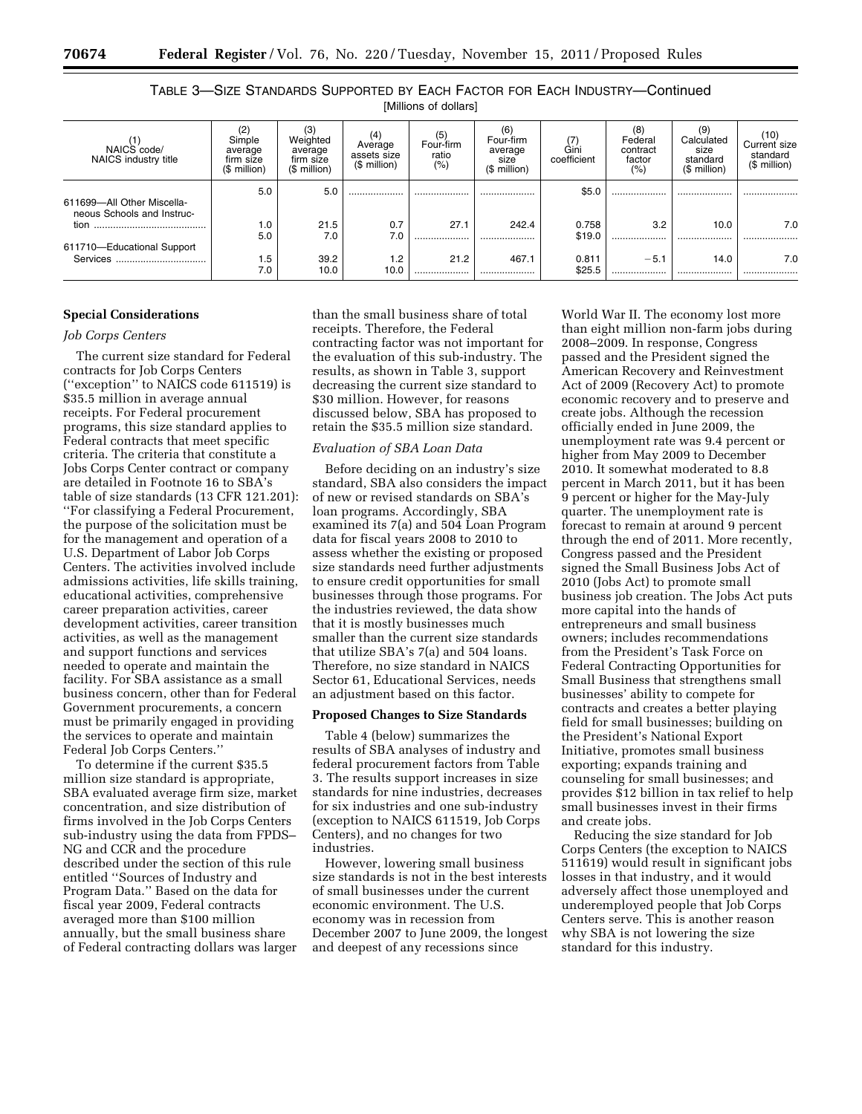| וט וויטווויט ווי דווי                                    |                                                       |                                                  |                                                   |                                      |                                                     |                     |                                             |                                                      |                                                         |
|----------------------------------------------------------|-------------------------------------------------------|--------------------------------------------------|---------------------------------------------------|--------------------------------------|-----------------------------------------------------|---------------------|---------------------------------------------|------------------------------------------------------|---------------------------------------------------------|
| NAICS code/<br>NAICS industry title                      | (2)<br>Simple<br>average<br>firm size<br>(\$ million) | Weighted<br>average<br>firm size<br>(\$ million) | (4)<br>Average<br>assets size<br>$($$ million $)$ | (5)<br>Four-firm<br>ratio<br>$(\% )$ | (6)<br>Four-firm<br>average<br>size<br>(\$ million) | Gini<br>coefficient | (8)<br>Federal<br>contract<br>factor<br>(%) | (9<br>Calculated<br>size<br>standard<br>(\$ million) | (10)<br><b>Current size</b><br>standard<br>(\$ million) |
| 611699-All Other Miscella-<br>neous Schools and Instruc- | 5.0                                                   | 5.0                                              |                                                   | .                                    |                                                     | \$5.0               | .                                           |                                                      |                                                         |
| tion                                                     | 1.0<br>5.0                                            | 21.5<br>7.0                                      | 0.7<br>7.0                                        | 27.1<br>                             | 242.4<br>                                           | 0.758<br>\$19.0     | 3.2<br>                                     | 10.0<br>.                                            | 7.0                                                     |
| 611710-Educational Support<br>Services                   | 1.5<br>7.0                                            | 39.2<br>10.0                                     | 1.2<br>10.0                                       | 21.2<br>                             | 467.1<br>                                           | 0.811<br>\$25.5     | $-5.1$<br>                                  | 14.0<br>                                             | 7.0<br>                                                 |

# TABLE 3—SIZE STANDARDS SUPPORTED BY EACH FACTOR FOR EACH INDUSTRY—Continued [Millions of dollars]

# **Special Considerations**

#### *Job Corps Centers*

The current size standard for Federal contracts for Job Corps Centers (''exception'' to NAICS code 611519) is \$35.5 million in average annual receipts. For Federal procurement programs, this size standard applies to Federal contracts that meet specific criteria. The criteria that constitute a Jobs Corps Center contract or company are detailed in Footnote 16 to SBA's table of size standards (13 CFR 121.201): ''For classifying a Federal Procurement, the purpose of the solicitation must be for the management and operation of a U.S. Department of Labor Job Corps Centers. The activities involved include admissions activities, life skills training, educational activities, comprehensive career preparation activities, career development activities, career transition activities, as well as the management and support functions and services needed to operate and maintain the facility. For SBA assistance as a small business concern, other than for Federal Government procurements, a concern must be primarily engaged in providing the services to operate and maintain Federal Job Corps Centers.''

To determine if the current \$35.5 million size standard is appropriate, SBA evaluated average firm size, market concentration, and size distribution of firms involved in the Job Corps Centers sub-industry using the data from FPDS– NG and CCR and the procedure described under the section of this rule entitled ''Sources of Industry and Program Data.'' Based on the data for fiscal year 2009, Federal contracts averaged more than \$100 million annually, but the small business share of Federal contracting dollars was larger

than the small business share of total receipts. Therefore, the Federal contracting factor was not important for the evaluation of this sub-industry. The results, as shown in Table 3, support decreasing the current size standard to \$30 million. However, for reasons discussed below, SBA has proposed to retain the \$35.5 million size standard.

# *Evaluation of SBA Loan Data*

Before deciding on an industry's size standard, SBA also considers the impact of new or revised standards on SBA's loan programs. Accordingly, SBA examined its 7(a) and 504 Loan Program data for fiscal years 2008 to 2010 to assess whether the existing or proposed size standards need further adjustments to ensure credit opportunities for small businesses through those programs. For the industries reviewed, the data show that it is mostly businesses much smaller than the current size standards that utilize SBA's 7(a) and 504 loans. Therefore, no size standard in NAICS Sector 61, Educational Services, needs an adjustment based on this factor.

#### **Proposed Changes to Size Standards**

Table 4 (below) summarizes the results of SBA analyses of industry and federal procurement factors from Table 3. The results support increases in size standards for nine industries, decreases for six industries and one sub-industry (exception to NAICS 611519, Job Corps Centers), and no changes for two industries.

However, lowering small business size standards is not in the best interests of small businesses under the current economic environment. The U.S. economy was in recession from December 2007 to June 2009, the longest and deepest of any recessions since

World War II. The economy lost more than eight million non-farm jobs during 2008–2009. In response, Congress passed and the President signed the American Recovery and Reinvestment Act of 2009 (Recovery Act) to promote economic recovery and to preserve and create jobs. Although the recession officially ended in June 2009, the unemployment rate was 9.4 percent or higher from May 2009 to December 2010. It somewhat moderated to 8.8 percent in March 2011, but it has been 9 percent or higher for the May-July quarter. The unemployment rate is forecast to remain at around 9 percent through the end of 2011. More recently, Congress passed and the President signed the Small Business Jobs Act of 2010 (Jobs Act) to promote small business job creation. The Jobs Act puts more capital into the hands of entrepreneurs and small business owners; includes recommendations from the President's Task Force on Federal Contracting Opportunities for Small Business that strengthens small businesses' ability to compete for contracts and creates a better playing field for small businesses; building on the President's National Export Initiative, promotes small business exporting; expands training and counseling for small businesses; and provides \$12 billion in tax relief to help small businesses invest in their firms and create jobs.

Reducing the size standard for Job Corps Centers (the exception to NAICS 511619) would result in significant jobs losses in that industry, and it would adversely affect those unemployed and underemployed people that Job Corps Centers serve. This is another reason why SBA is not lowering the size standard for this industry.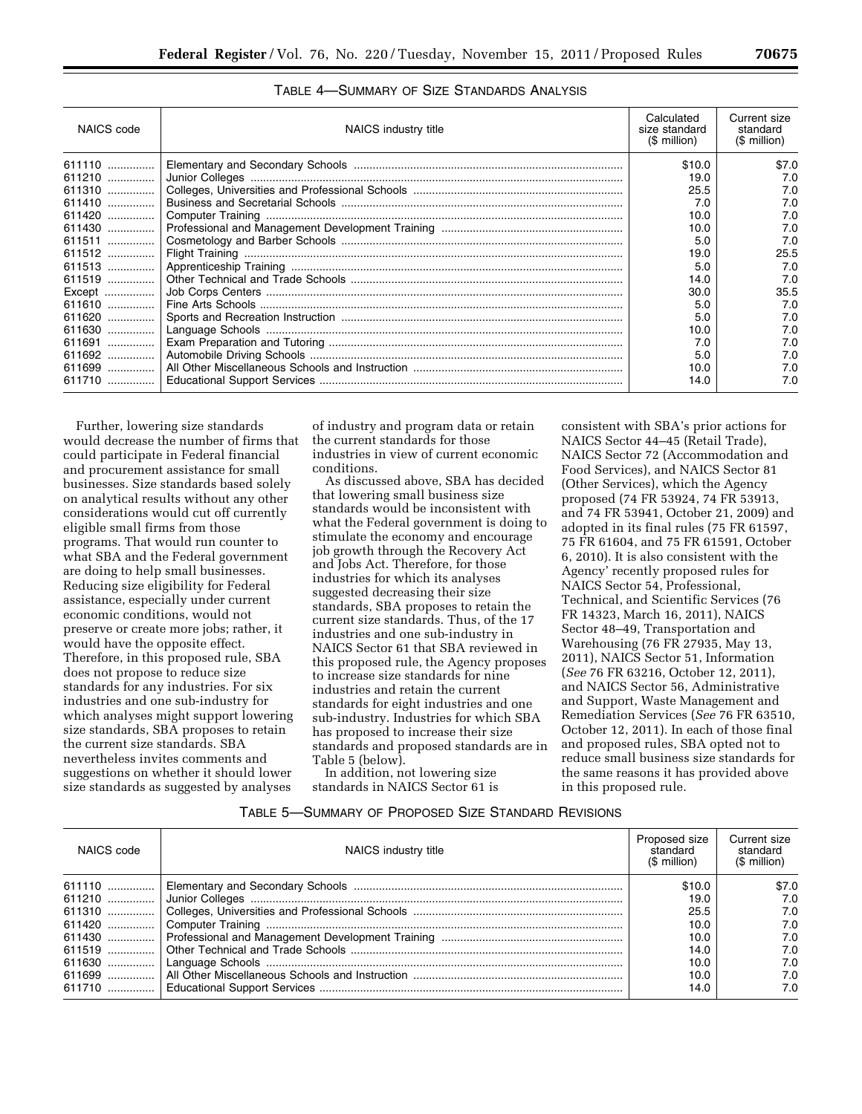| NAICS code | NAICS industry title | Calculated<br>size standard<br>$$$ million) | Current size<br>standard<br>(\$ million) |
|------------|----------------------|---------------------------------------------|------------------------------------------|
| 611110     |                      | \$10.0                                      | \$7.0                                    |
| 611210     |                      | 19.0                                        | 7.0                                      |
|            |                      | 25.5                                        | 7.0                                      |
| 611410     |                      | 7.0                                         | 7.0                                      |
| 611420     |                      | 10.0                                        | 7.0                                      |
|            |                      | 10.0                                        | 7.0                                      |
|            |                      | 5.0                                         | 7.0                                      |
| 611512     |                      | 19.0                                        | 25.5                                     |
|            |                      | 5.0                                         | 7.0                                      |
| 611519     |                      | 14.0                                        | 7.0                                      |
| Except     |                      | 30.0                                        | 35.5                                     |
| 611610     |                      | 5.0                                         | 7.0                                      |
| 611620     |                      | 5.0                                         | 7.0                                      |
|            |                      | 10.0                                        | 7.0                                      |
| 611691     |                      | 7.0                                         | 7.0                                      |
|            |                      | 5.0                                         | 7.0                                      |
| 611699     |                      | 10.0                                        | 7.0                                      |
|            |                      | 14.0                                        | 7.0                                      |

TABLE 4—SUMMARY OF SIZE STANDARDS ANALYSIS

Further, lowering size standards would decrease the number of firms that could participate in Federal financial and procurement assistance for small businesses. Size standards based solely on analytical results without any other considerations would cut off currently eligible small firms from those programs. That would run counter to what SBA and the Federal government are doing to help small businesses. Reducing size eligibility for Federal assistance, especially under current economic conditions, would not preserve or create more jobs; rather, it would have the opposite effect. Therefore, in this proposed rule, SBA does not propose to reduce size standards for any industries. For six industries and one sub-industry for which analyses might support lowering size standards, SBA proposes to retain the current size standards. SBA nevertheless invites comments and suggestions on whether it should lower size standards as suggested by analyses

of industry and program data or retain the current standards for those industries in view of current economic conditions.

As discussed above, SBA has decided that lowering small business size standards would be inconsistent with what the Federal government is doing to stimulate the economy and encourage job growth through the Recovery Act and Jobs Act. Therefore, for those industries for which its analyses suggested decreasing their size standards, SBA proposes to retain the current size standards. Thus, of the 17 industries and one sub-industry in NAICS Sector 61 that SBA reviewed in this proposed rule, the Agency proposes to increase size standards for nine industries and retain the current standards for eight industries and one sub-industry. Industries for which SBA has proposed to increase their size standards and proposed standards are in Table 5 (below).

In addition, not lowering size standards in NAICS Sector 61 is

consistent with SBA's prior actions for NAICS Sector 44–45 (Retail Trade), NAICS Sector 72 (Accommodation and Food Services), and NAICS Sector 81 (Other Services), which the Agency proposed (74 FR 53924, 74 FR 53913, and 74 FR 53941, October 21, 2009) and adopted in its final rules (75 FR 61597, 75 FR 61604, and 75 FR 61591, October 6, 2010). It is also consistent with the Agency' recently proposed rules for NAICS Sector 54, Professional, Technical, and Scientific Services (76 FR 14323, March 16, 2011), NAICS Sector 48–49, Transportation and Warehousing (76 FR 27935, May 13, 2011), NAICS Sector 51, Information (*See* 76 FR 63216, October 12, 2011), and NAICS Sector 56, Administrative and Support, Waste Management and Remediation Services (*See* 76 FR 63510, October 12, 2011). In each of those final and proposed rules, SBA opted not to reduce small business size standards for the same reasons it has provided above in this proposed rule.

| NAICS code | NAICS industry title | Proposed size<br>standard<br>$(S$ million) | Current size<br>standard<br>(\$ million) |  |
|------------|----------------------|--------------------------------------------|------------------------------------------|--|
|            |                      | \$10.0                                     | \$7.0                                    |  |
|            |                      | 19.0                                       | 7.0                                      |  |
|            |                      | 25.5                                       | 7.0                                      |  |
|            |                      | 10.0                                       | 7.0                                      |  |
|            |                      | 10.0                                       | 7.0                                      |  |
|            |                      | 14.0                                       | 7.0                                      |  |
|            |                      | 10.0                                       | 7.0                                      |  |
|            |                      | 10.0                                       | 7.0                                      |  |
|            |                      | 14.0                                       | 7.0                                      |  |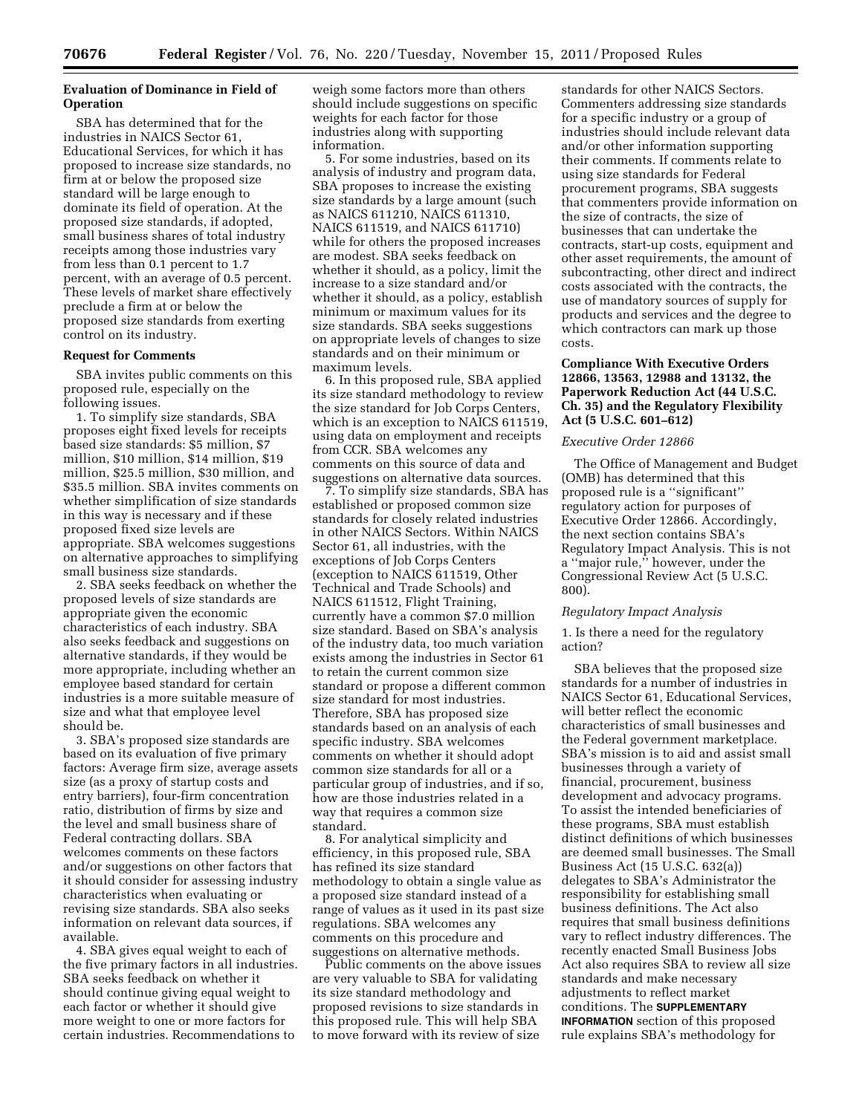# **Evaluation of Dominance in Field of Operation**

SBA has determined that for the industries in NAICS Sector 61, Educational Services, for which it has proposed to increase size standards, no firm at or below the proposed size standard will be large enough to dominate its field of operation. At the proposed size standards, if adopted, small business shares of total industry receipts among those industries vary from less than 0.1 percent to 1.7 percent, with an average of 0.5 percent. These levels of market share effectively preclude a firm at or below the proposed size standards from exerting control on its industry.

### **Request for Comments**

SBA invites public comments on this proposed rule, especially on the following issues.

1. To simplify size standards, SBA proposes eight fixed levels for receipts based size standards: \$5 million, \$7 million, \$10 million, \$14 million, \$19 million, \$25.5 million, \$30 million, and \$35.5 million. SBA invites comments on whether simplification of size standards in this way is necessary and if these proposed fixed size levels are appropriate. SBA welcomes suggestions on alternative approaches to simplifying small business size standards.

2. SBA seeks feedback on whether the proposed levels of size standards are appropriate given the economic characteristics of each industry. SBA also seeks feedback and suggestions on alternative standards, if they would be more appropriate, including whether an employee based standard for certain industries is a more suitable measure of size and what that employee level should be.

3. SBA's proposed size standards are based on its evaluation of five primary factors: Average firm size, average assets size (as a proxy of startup costs and entry barriers), four-firm concentration ratio, distribution of firms by size and the level and small business share of Federal contracting dollars. SBA welcomes comments on these factors and/or suggestions on other factors that it should consider for assessing industry characteristics when evaluating or revising size standards. SBA also seeks information on relevant data sources, if available.

4. SBA gives equal weight to each of the five primary factors in all industries. SBA seeks feedback on whether it should continue giving equal weight to each factor or whether it should give more weight to one or more factors for certain industries. Recommendations to

weigh some factors more than others should include suggestions on specific weights for each factor for those industries along with supporting information.

5. For some industries, based on its analysis of industry and program data, SBA proposes to increase the existing size standards by a large amount (such as NAICS 611210, NAICS 611310, NAICS 611519, and NAICS 611710) while for others the proposed increases are modest. SBA seeks feedback on whether it should, as a policy, limit the increase to a size standard and/or whether it should, as a policy, establish minimum or maximum values for its size standards. SBA seeks suggestions on appropriate levels of changes to size standards and on their minimum or maximum levels.

6. In this proposed rule, SBA applied its size standard methodology to review the size standard for Job Corps Centers, which is an exception to NAICS 611519, using data on employment and receipts from CCR. SBA welcomes any comments on this source of data and suggestions on alternative data sources.

7. To simplify size standards, SBA has established or proposed common size standards for closely related industries in other NAICS Sectors. Within NAICS Sector 61, all industries, with the exceptions of Job Corps Centers (exception to NAICS 611519, Other Technical and Trade Schools) and NAICS 611512, Flight Training, currently have a common \$7.0 million size standard. Based on SBA's analysis of the industry data, too much variation exists among the industries in Sector 61 to retain the current common size standard or propose a different common size standard for most industries. Therefore, SBA has proposed size standards based on an analysis of each specific industry. SBA welcomes comments on whether it should adopt common size standards for all or a particular group of industries, and if so, how are those industries related in a way that requires a common size standard.

8. For analytical simplicity and efficiency, in this proposed rule, SBA has refined its size standard methodology to obtain a single value as a proposed size standard instead of a range of values as it used in its past size regulations. SBA welcomes any comments on this procedure and suggestions on alternative methods.

Public comments on the above issues are very valuable to SBA for validating its size standard methodology and proposed revisions to size standards in this proposed rule. This will help SBA to move forward with its review of size

standards for other NAICS Sectors. Commenters addressing size standards for a specific industry or a group of industries should include relevant data and/or other information supporting their comments. If comments relate to using size standards for Federal procurement programs, SBA suggests that commenters provide information on the size of contracts, the size of businesses that can undertake the contracts, start-up costs, equipment and other asset requirements, the amount of subcontracting, other direct and indirect costs associated with the contracts, the use of mandatory sources of supply for products and services and the degree to which contractors can mark up those costs.

# **Compliance With Executive Orders 12866, 13563, 12988 and 13132, the Paperwork Reduction Act (44 U.S.C. Ch. 35) and the Regulatory Flexibility Act (5 U.S.C. 601–612)**

### *Executive Order 12866*

The Office of Management and Budget (OMB) has determined that this proposed rule is a ''significant'' regulatory action for purposes of Executive Order 12866. Accordingly, the next section contains SBA's Regulatory Impact Analysis. This is not a ''major rule,'' however, under the Congressional Review Act (5 U.S.C. 800).

#### *Regulatory Impact Analysis*

1. Is there a need for the regulatory action?

SBA believes that the proposed size standards for a number of industries in NAICS Sector 61, Educational Services, will better reflect the economic characteristics of small businesses and the Federal government marketplace. SBA's mission is to aid and assist small businesses through a variety of financial, procurement, business development and advocacy programs. To assist the intended beneficiaries of these programs, SBA must establish distinct definitions of which businesses are deemed small businesses. The Small Business Act (15 U.S.C. 632(a)) delegates to SBA's Administrator the responsibility for establishing small business definitions. The Act also requires that small business definitions vary to reflect industry differences. The recently enacted Small Business Jobs Act also requires SBA to review all size standards and make necessary adjustments to reflect market conditions. The **SUPPLEMENTARY INFORMATION** section of this proposed rule explains SBA's methodology for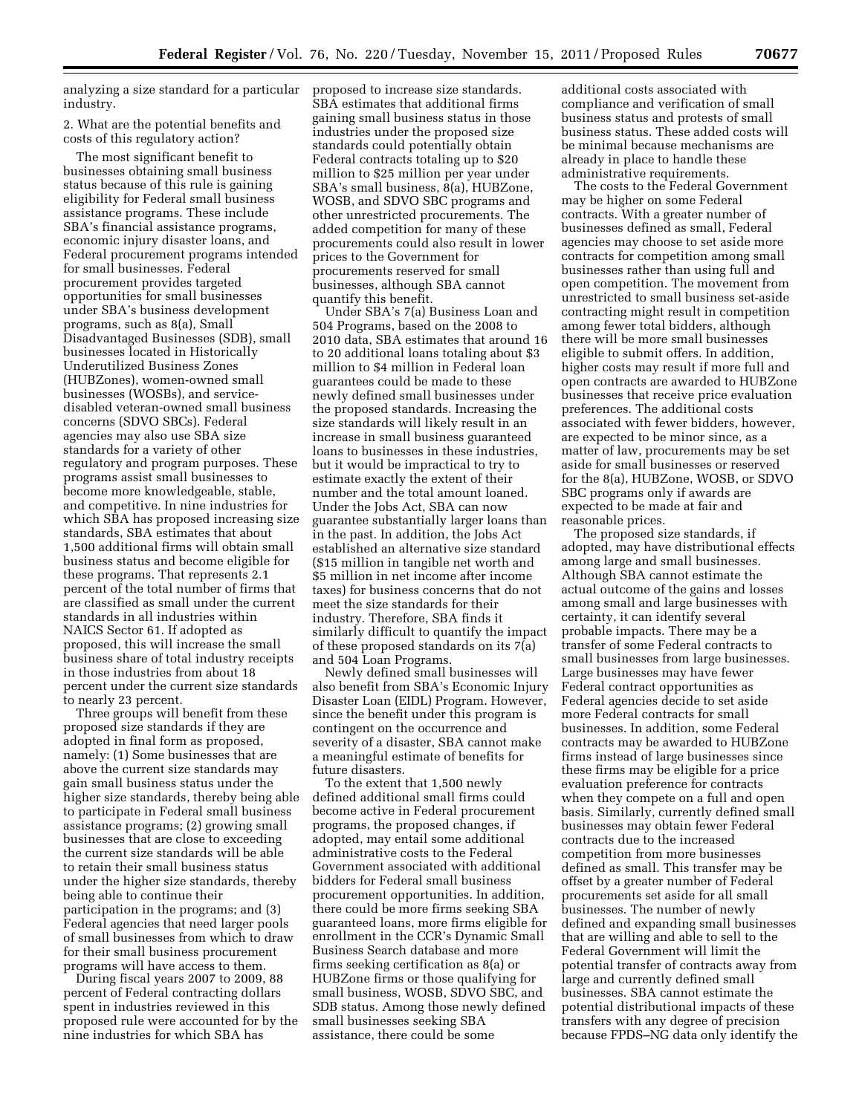analyzing a size standard for a particular industry.

2. What are the potential benefits and costs of this regulatory action?

The most significant benefit to businesses obtaining small business status because of this rule is gaining eligibility for Federal small business assistance programs. These include SBA's financial assistance programs, economic injury disaster loans, and Federal procurement programs intended for small businesses. Federal procurement provides targeted opportunities for small businesses under SBA's business development programs, such as 8(a), Small Disadvantaged Businesses (SDB), small businesses located in Historically Underutilized Business Zones (HUBZones), women-owned small businesses (WOSBs), and servicedisabled veteran-owned small business concerns (SDVO SBCs). Federal agencies may also use SBA size standards for a variety of other regulatory and program purposes. These programs assist small businesses to become more knowledgeable, stable, and competitive. In nine industries for which SBA has proposed increasing size standards, SBA estimates that about 1,500 additional firms will obtain small business status and become eligible for these programs. That represents 2.1 percent of the total number of firms that are classified as small under the current standards in all industries within NAICS Sector 61. If adopted as proposed, this will increase the small business share of total industry receipts in those industries from about 18 percent under the current size standards to nearly 23 percent.

Three groups will benefit from these proposed size standards if they are adopted in final form as proposed, namely: (1) Some businesses that are above the current size standards may gain small business status under the higher size standards, thereby being able to participate in Federal small business assistance programs; (2) growing small businesses that are close to exceeding the current size standards will be able to retain their small business status under the higher size standards, thereby being able to continue their participation in the programs; and (3) Federal agencies that need larger pools of small businesses from which to draw for their small business procurement programs will have access to them.

During fiscal years 2007 to 2009, 88 percent of Federal contracting dollars spent in industries reviewed in this proposed rule were accounted for by the nine industries for which SBA has

proposed to increase size standards. SBA estimates that additional firms gaining small business status in those industries under the proposed size standards could potentially obtain Federal contracts totaling up to \$20 million to \$25 million per year under SBA's small business, 8(a), HUBZone, WOSB, and SDVO SBC programs and other unrestricted procurements. The added competition for many of these procurements could also result in lower prices to the Government for procurements reserved for small businesses, although SBA cannot quantify this benefit.

Under SBA's 7(a) Business Loan and 504 Programs, based on the 2008 to 2010 data, SBA estimates that around 16 to 20 additional loans totaling about \$3 million to \$4 million in Federal loan guarantees could be made to these newly defined small businesses under the proposed standards. Increasing the size standards will likely result in an increase in small business guaranteed loans to businesses in these industries, but it would be impractical to try to estimate exactly the extent of their number and the total amount loaned. Under the Jobs Act, SBA can now guarantee substantially larger loans than in the past. In addition, the Jobs Act established an alternative size standard (\$15 million in tangible net worth and \$5 million in net income after income taxes) for business concerns that do not meet the size standards for their industry. Therefore, SBA finds it similarly difficult to quantify the impact of these proposed standards on its 7(a) and 504 Loan Programs.

Newly defined small businesses will also benefit from SBA's Economic Injury Disaster Loan (EIDL) Program. However, since the benefit under this program is contingent on the occurrence and severity of a disaster, SBA cannot make a meaningful estimate of benefits for future disasters.

To the extent that 1,500 newly defined additional small firms could become active in Federal procurement programs, the proposed changes, if adopted, may entail some additional administrative costs to the Federal Government associated with additional bidders for Federal small business procurement opportunities. In addition, there could be more firms seeking SBA guaranteed loans, more firms eligible for enrollment in the CCR's Dynamic Small Business Search database and more firms seeking certification as 8(a) or HUBZone firms or those qualifying for small business, WOSB, SDVO SBC, and SDB status. Among those newly defined small businesses seeking SBA assistance, there could be some

additional costs associated with compliance and verification of small business status and protests of small business status. These added costs will be minimal because mechanisms are already in place to handle these administrative requirements.

The costs to the Federal Government may be higher on some Federal contracts. With a greater number of businesses defined as small, Federal agencies may choose to set aside more contracts for competition among small businesses rather than using full and open competition. The movement from unrestricted to small business set-aside contracting might result in competition among fewer total bidders, although there will be more small businesses eligible to submit offers. In addition, higher costs may result if more full and open contracts are awarded to HUBZone businesses that receive price evaluation preferences. The additional costs associated with fewer bidders, however, are expected to be minor since, as a matter of law, procurements may be set aside for small businesses or reserved for the 8(a), HUBZone, WOSB, or SDVO SBC programs only if awards are expected to be made at fair and reasonable prices.

The proposed size standards, if adopted, may have distributional effects among large and small businesses. Although SBA cannot estimate the actual outcome of the gains and losses among small and large businesses with certainty, it can identify several probable impacts. There may be a transfer of some Federal contracts to small businesses from large businesses. Large businesses may have fewer Federal contract opportunities as Federal agencies decide to set aside more Federal contracts for small businesses. In addition, some Federal contracts may be awarded to HUBZone firms instead of large businesses since these firms may be eligible for a price evaluation preference for contracts when they compete on a full and open basis. Similarly, currently defined small businesses may obtain fewer Federal contracts due to the increased competition from more businesses defined as small. This transfer may be offset by a greater number of Federal procurements set aside for all small businesses. The number of newly defined and expanding small businesses that are willing and able to sell to the Federal Government will limit the potential transfer of contracts away from large and currently defined small businesses. SBA cannot estimate the potential distributional impacts of these transfers with any degree of precision because FPDS–NG data only identify the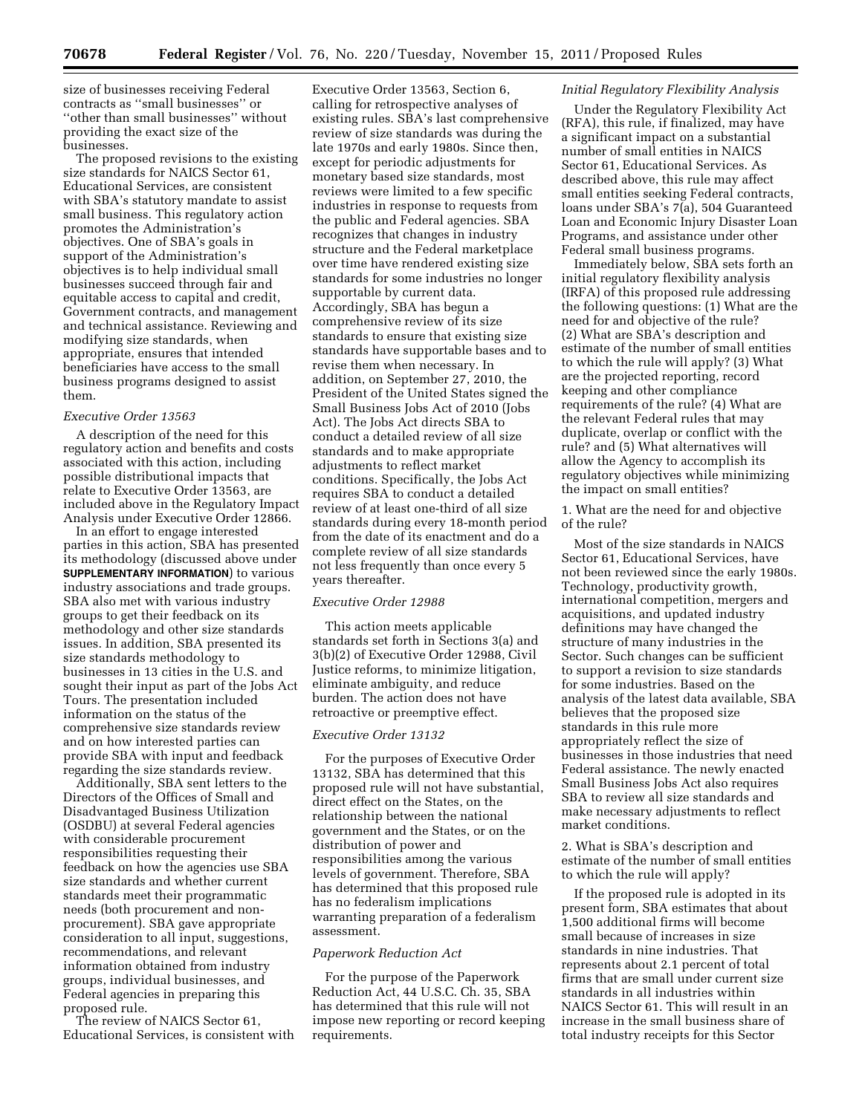size of businesses receiving Federal contracts as ''small businesses'' or ''other than small businesses'' without providing the exact size of the businesses.

The proposed revisions to the existing size standards for NAICS Sector 61, Educational Services, are consistent with SBA's statutory mandate to assist small business. This regulatory action promotes the Administration's objectives. One of SBA's goals in support of the Administration's objectives is to help individual small businesses succeed through fair and equitable access to capital and credit, Government contracts, and management and technical assistance. Reviewing and modifying size standards, when appropriate, ensures that intended beneficiaries have access to the small business programs designed to assist them.

# *Executive Order 13563*

A description of the need for this regulatory action and benefits and costs associated with this action, including possible distributional impacts that relate to Executive Order 13563, are included above in the Regulatory Impact Analysis under Executive Order 12866.

In an effort to engage interested parties in this action, SBA has presented its methodology (discussed above under **SUPPLEMENTARY INFORMATION**) to various industry associations and trade groups. SBA also met with various industry groups to get their feedback on its methodology and other size standards issues. In addition, SBA presented its size standards methodology to businesses in 13 cities in the U.S. and sought their input as part of the Jobs Act Tours. The presentation included information on the status of the comprehensive size standards review and on how interested parties can provide SBA with input and feedback regarding the size standards review.

Additionally, SBA sent letters to the Directors of the Offices of Small and Disadvantaged Business Utilization (OSDBU) at several Federal agencies with considerable procurement responsibilities requesting their feedback on how the agencies use SBA size standards and whether current standards meet their programmatic needs (both procurement and nonprocurement). SBA gave appropriate consideration to all input, suggestions, recommendations, and relevant information obtained from industry groups, individual businesses, and Federal agencies in preparing this proposed rule.

The review of NAICS Sector 61, Educational Services, is consistent with

Executive Order 13563, Section 6, calling for retrospective analyses of existing rules. SBA's last comprehensive review of size standards was during the late 1970s and early 1980s. Since then, except for periodic adjustments for monetary based size standards, most reviews were limited to a few specific industries in response to requests from the public and Federal agencies. SBA recognizes that changes in industry structure and the Federal marketplace over time have rendered existing size standards for some industries no longer supportable by current data. Accordingly, SBA has begun a comprehensive review of its size standards to ensure that existing size standards have supportable bases and to revise them when necessary. In addition, on September 27, 2010, the President of the United States signed the Small Business Jobs Act of 2010 (Jobs Act). The Jobs Act directs SBA to conduct a detailed review of all size standards and to make appropriate adjustments to reflect market conditions. Specifically, the Jobs Act requires SBA to conduct a detailed review of at least one-third of all size standards during every 18-month period from the date of its enactment and do a complete review of all size standards not less frequently than once every 5 years thereafter.

# *Executive Order 12988*

This action meets applicable standards set forth in Sections 3(a) and 3(b)(2) of Executive Order 12988, Civil Justice reforms, to minimize litigation, eliminate ambiguity, and reduce burden. The action does not have retroactive or preemptive effect.

# *Executive Order 13132*

For the purposes of Executive Order 13132, SBA has determined that this proposed rule will not have substantial, direct effect on the States, on the relationship between the national government and the States, or on the distribution of power and responsibilities among the various levels of government. Therefore, SBA has determined that this proposed rule has no federalism implications warranting preparation of a federalism assessment.

### *Paperwork Reduction Act*

For the purpose of the Paperwork Reduction Act, 44 U.S.C. Ch. 35, SBA has determined that this rule will not impose new reporting or record keeping requirements.

# *Initial Regulatory Flexibility Analysis*

Under the Regulatory Flexibility Act (RFA), this rule, if finalized, may have a significant impact on a substantial number of small entities in NAICS Sector 61, Educational Services. As described above, this rule may affect small entities seeking Federal contracts, loans under SBA's 7(a), 504 Guaranteed Loan and Economic Injury Disaster Loan Programs, and assistance under other Federal small business programs.

Immediately below, SBA sets forth an initial regulatory flexibility analysis (IRFA) of this proposed rule addressing the following questions: (1) What are the need for and objective of the rule? (2) What are SBA's description and estimate of the number of small entities to which the rule will apply? (3) What are the projected reporting, record keeping and other compliance requirements of the rule? (4) What are the relevant Federal rules that may duplicate, overlap or conflict with the rule? and (5) What alternatives will allow the Agency to accomplish its regulatory objectives while minimizing the impact on small entities?

1. What are the need for and objective of the rule?

Most of the size standards in NAICS Sector 61, Educational Services, have not been reviewed since the early 1980s. Technology, productivity growth, international competition, mergers and acquisitions, and updated industry definitions may have changed the structure of many industries in the Sector. Such changes can be sufficient to support a revision to size standards for some industries. Based on the analysis of the latest data available, SBA believes that the proposed size standards in this rule more appropriately reflect the size of businesses in those industries that need Federal assistance. The newly enacted Small Business Jobs Act also requires SBA to review all size standards and make necessary adjustments to reflect market conditions.

2. What is SBA's description and estimate of the number of small entities to which the rule will apply?

If the proposed rule is adopted in its present form, SBA estimates that about 1,500 additional firms will become small because of increases in size standards in nine industries. That represents about 2.1 percent of total firms that are small under current size standards in all industries within NAICS Sector 61. This will result in an increase in the small business share of total industry receipts for this Sector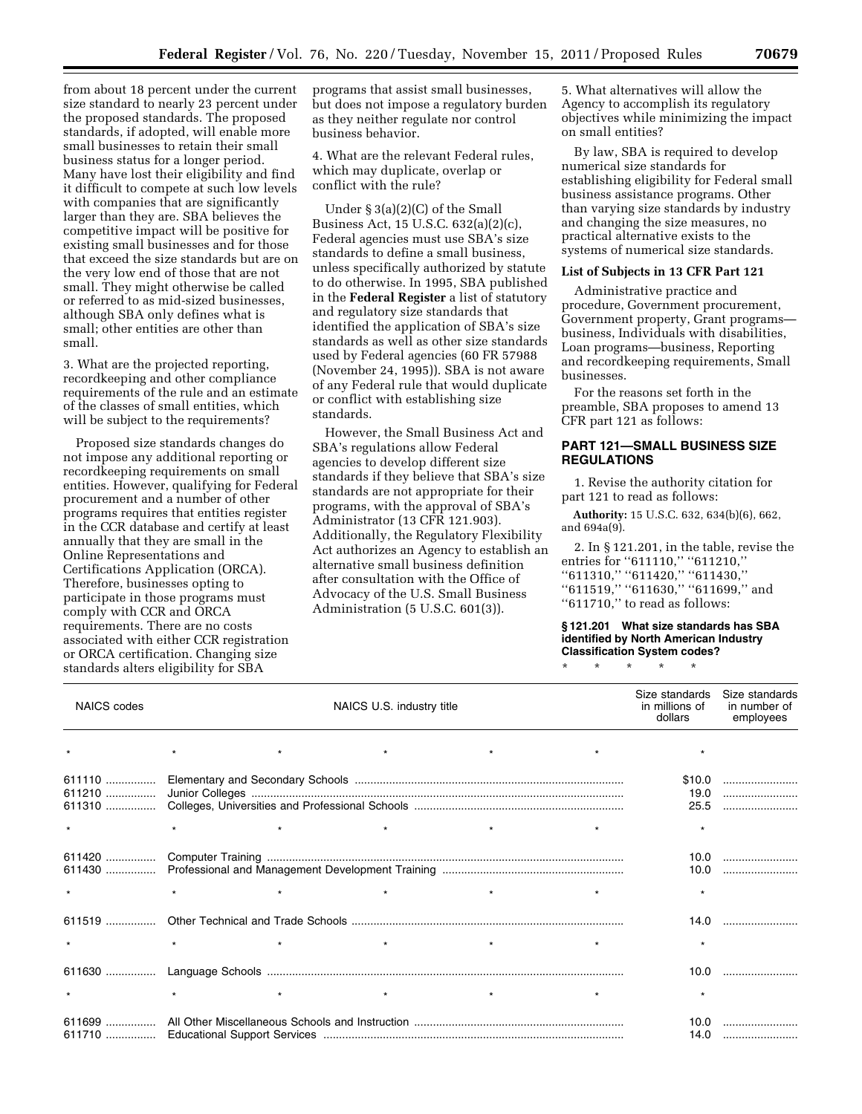from about 18 percent under the current size standard to nearly 23 percent under the proposed standards. The proposed standards, if adopted, will enable more small businesses to retain their small business status for a longer period. Many have lost their eligibility and find it difficult to compete at such low levels with companies that are significantly larger than they are. SBA believes the competitive impact will be positive for existing small businesses and for those that exceed the size standards but are on the very low end of those that are not small. They might otherwise be called or referred to as mid-sized businesses, although SBA only defines what is small; other entities are other than small.

3. What are the projected reporting, recordkeeping and other compliance requirements of the rule and an estimate of the classes of small entities, which will be subject to the requirements?

Proposed size standards changes do not impose any additional reporting or recordkeeping requirements on small entities. However, qualifying for Federal procurement and a number of other programs requires that entities register in the CCR database and certify at least annually that they are small in the Online Representations and Certifications Application (ORCA). Therefore, businesses opting to participate in those programs must comply with CCR and ORCA requirements. There are no costs associated with either CCR registration or ORCA certification. Changing size standards alters eligibility for SBA

programs that assist small businesses, but does not impose a regulatory burden as they neither regulate nor control business behavior.

4. What are the relevant Federal rules, which may duplicate, overlap or conflict with the rule?

Under § 3(a)(2)(C) of the Small Business Act, 15 U.S.C. 632(a)(2)(c), Federal agencies must use SBA's size standards to define a small business, unless specifically authorized by statute to do otherwise. In 1995, SBA published in the **Federal Register** a list of statutory and regulatory size standards that identified the application of SBA's size standards as well as other size standards used by Federal agencies (60 FR 57988 (November 24, 1995)). SBA is not aware of any Federal rule that would duplicate or conflict with establishing size standards.

However, the Small Business Act and SBA's regulations allow Federal agencies to develop different size standards if they believe that SBA's size standards are not appropriate for their programs, with the approval of SBA's Administrator (13 CFR 121.903). Additionally, the Regulatory Flexibility Act authorizes an Agency to establish an alternative small business definition after consultation with the Office of Advocacy of the U.S. Small Business Administration (5 U.S.C. 601(3)).

5. What alternatives will allow the Agency to accomplish its regulatory objectives while minimizing the impact on small entities?

By law, SBA is required to develop numerical size standards for establishing eligibility for Federal small business assistance programs. Other than varying size standards by industry and changing the size measures, no practical alternative exists to the systems of numerical size standards.

# **List of Subjects in 13 CFR Part 121**

Administrative practice and procedure, Government procurement, Government property, Grant programs business, Individuals with disabilities, Loan programs—business, Reporting and recordkeeping requirements, Small businesses.

For the reasons set forth in the preamble, SBA proposes to amend 13 CFR part 121 as follows:

# **PART 121—SMALL BUSINESS SIZE REGULATIONS**

1. Revise the authority citation for part 121 to read as follows:

**Authority:** 15 U.S.C. 632, 634(b)(6), 662, and 694a(9).

2. In § 121.201, in the table, revise the entries for "611110," "611210," ''611310,'' ''611420,'' ''611430,'' "611519," "611630," "611699," and "611710," to read as follows:

### **§ 121.201 What size standards has SBA identified by North American Industry Classification System codes?**

\* \* \* \* \*

| <b>NAICS</b> codes |         | Size standards<br>in millions of<br>dollars | Size standards<br>in number of<br>employees |  |                        |  |
|--------------------|---------|---------------------------------------------|---------------------------------------------|--|------------------------|--|
|                    |         |                                             |                                             |  |                        |  |
| 611110             |         |                                             |                                             |  | \$10.0<br>19.0<br>25.5 |  |
|                    | $\star$ |                                             |                                             |  |                        |  |
|                    |         |                                             |                                             |  | 10.0<br>10.0           |  |
| $\star$            | $\star$ |                                             |                                             |  |                        |  |
|                    |         |                                             |                                             |  | 14.0                   |  |
|                    | $\star$ |                                             |                                             |  |                        |  |
|                    |         |                                             |                                             |  | 10.0                   |  |
|                    | $\star$ | $\star$                                     | $\star$                                     |  |                        |  |
| $611699$           |         |                                             |                                             |  | 10.0<br>14.0           |  |